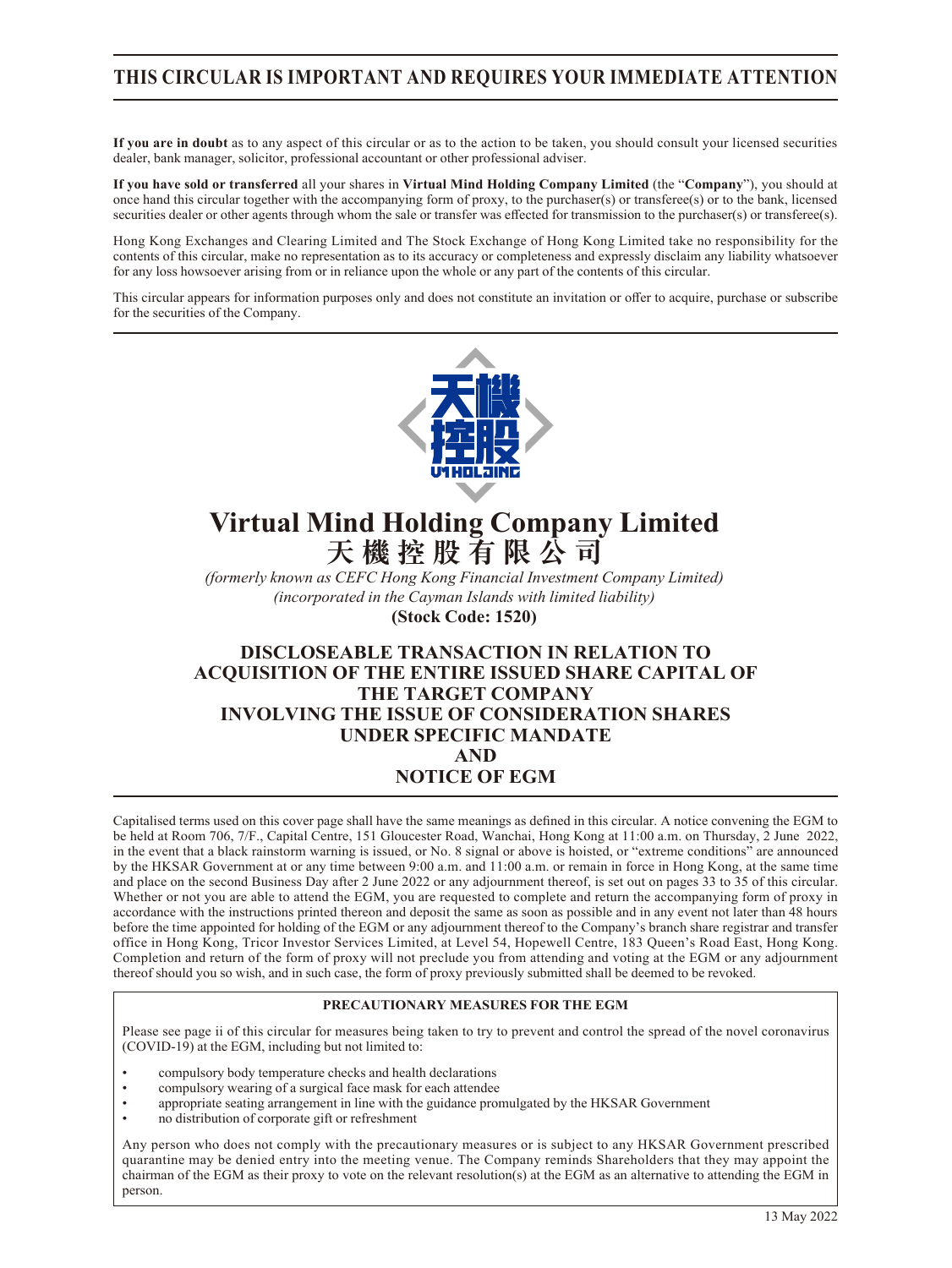### **THIS CIRCULAR IS IMPORTANT AND REQUIRES YOUR IMMEDIATE ATTENTION**

**If you are in doubt** as to any aspect of this circular or as to the action to be taken, you should consult your licensed securities dealer, bank manager, solicitor, professional accountant or other professional adviser.

**If you have sold or transferred** all your shares in **Virtual Mind Holding Company Limited** (the "**Company**"), you should at once hand this circular together with the accompanying form of proxy, to the purchaser(s) or transferee(s) or to the bank, licensed securities dealer or other agents through whom the sale or transfer was effected for transmission to the purchaser(s) or transferee(s).

Hong Kong Exchanges and Clearing Limited and The Stock Exchange of Hong Kong Limited take no responsibility for the contents of this circular, make no representation as to its accuracy or completeness and expressly disclaim any liability whatsoever for any loss howsoever arising from or in reliance upon the whole or any part of the contents of this circular.

This circular appears for information purposes only and does not constitute an invitation or offer to acquire, purchase or subscribe for the securities of the Company.



# **Virtual Mind Holding Company Limited 天機控股有限公司**

*(formerly known as CEFC Hong Kong Financial Investment Company Limited) (incorporated in the Cayman Islands with limited liability)* **(Stock Code: 1520)**

### **DISCLOSEABLE TRANSACTION IN RELATION TO ACQUISITION OF THE ENTIRE ISSUED SHARE CAPITAL OF THE TARGET COMPANY INVOLVING THE ISSUE OF CONSIDERATION SHARES UNDER SPECIFIC MANDATE AND NOTICE OF EGM**

Capitalised terms used on this cover page shall have the same meanings as defined in this circular. A notice convening the EGM to be held at Room 706, 7/F., Capital Centre, 151 Gloucester Road, Wanchai, Hong Kong at 11:00 a.m. on Thursday, 2 June 2022, in the event that a black rainstorm warning is issued, or No. 8 signal or above is hoisted, or "extreme conditions" are announced by the HKSAR Government at or any time between 9:00 a.m. and 11:00 a.m. or remain in force in Hong Kong, at the same time and place on the second Business Day after 2 June 2022 or any adjournment thereof, is set out on pages 33 to 35 of this circular. Whether or not you are able to attend the EGM, you are requested to complete and return the accompanying form of proxy in accordance with the instructions printed thereon and deposit the same as soon as possible and in any event not later than 48 hours before the time appointed for holding of the EGM or any adjournment thereof to the Company's branch share registrar and transfer office in Hong Kong, Tricor Investor Services Limited, at Level 54, Hopewell Centre, 183 Queen's Road East, Hong Kong. Completion and return of the form of proxy will not preclude you from attending and voting at the EGM or any adjournment thereof should you so wish, and in such case, the form of proxy previously submitted shall be deemed to be revoked.

#### **PRECAUTIONARY MEASURES FOR THE EGM**

Please see page ii of this circular for measures being taken to try to prevent and control the spread of the novel coronavirus (COVID-19) at the EGM, including but not limited to:

- compulsory body temperature checks and health declarations
- compulsory wearing of a surgical face mask for each attendee
- appropriate seating arrangement in line with the guidance promulgated by the HKSAR Government
- no distribution of corporate gift or refreshment

Any person who does not comply with the precautionary measures or is subject to any HKSAR Government prescribed quarantine may be denied entry into the meeting venue. The Company reminds Shareholders that they may appoint the chairman of the EGM as their proxy to vote on the relevant resolution(s) at the EGM as an alternative to attending the EGM in person.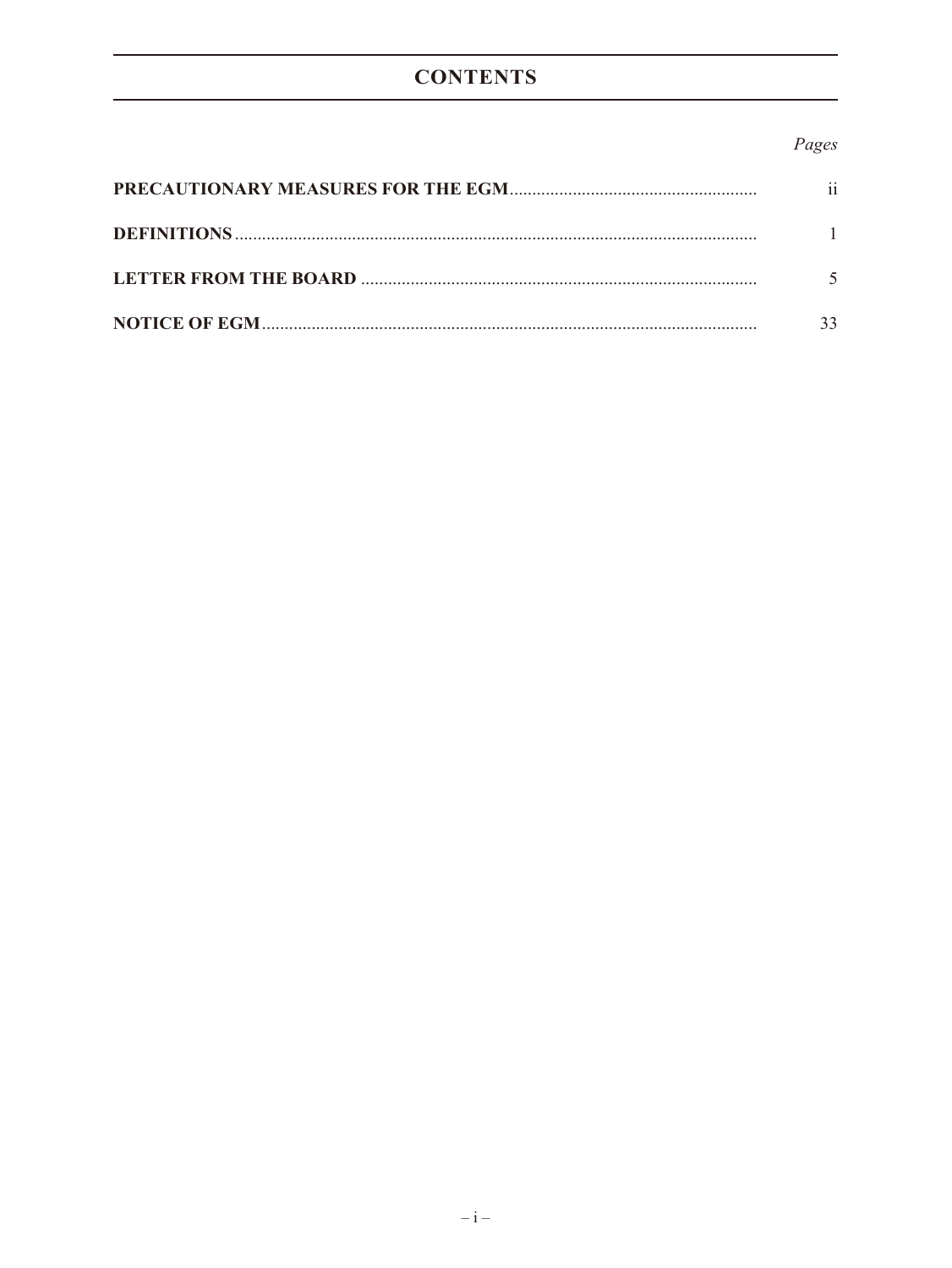## **CONTENTS**

### Pages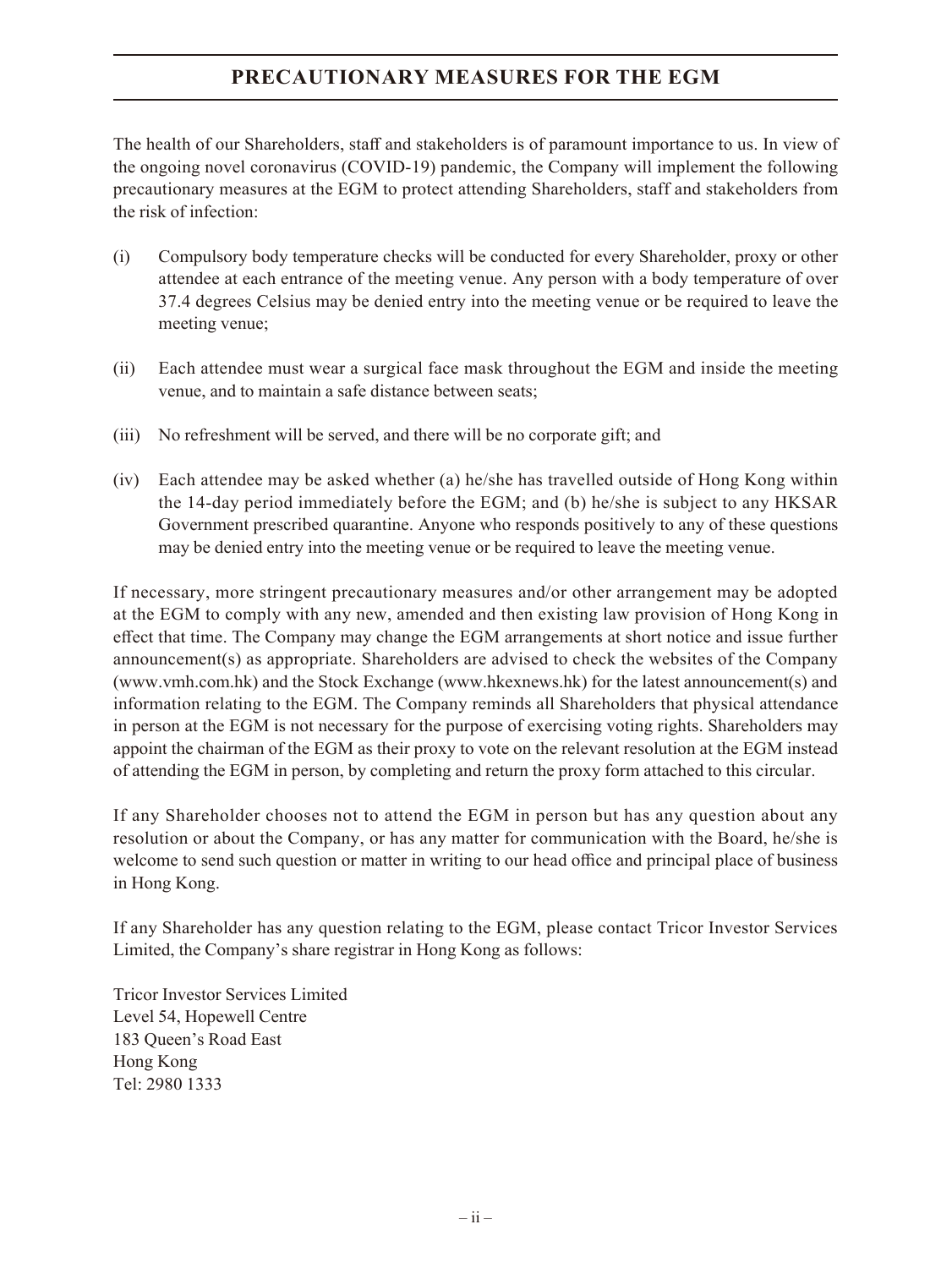### **PRECAUTIONARY MEASURES FOR THE EGM**

The health of our Shareholders, staff and stakeholders is of paramount importance to us. In view of the ongoing novel coronavirus (COVID-19) pandemic, the Company will implement the following precautionary measures at the EGM to protect attending Shareholders, staff and stakeholders from the risk of infection:

- (i) Compulsory body temperature checks will be conducted for every Shareholder, proxy or other attendee at each entrance of the meeting venue. Any person with a body temperature of over 37.4 degrees Celsius may be denied entry into the meeting venue or be required to leave the meeting venue;
- (ii) Each attendee must wear a surgical face mask throughout the EGM and inside the meeting venue, and to maintain a safe distance between seats;
- (iii) No refreshment will be served, and there will be no corporate gift; and
- (iv) Each attendee may be asked whether (a) he/she has travelled outside of Hong Kong within the 14-day period immediately before the EGM; and (b) he/she is subject to any HKSAR Government prescribed quarantine. Anyone who responds positively to any of these questions may be denied entry into the meeting venue or be required to leave the meeting venue.

If necessary, more stringent precautionary measures and/or other arrangement may be adopted at the EGM to comply with any new, amended and then existing law provision of Hong Kong in effect that time. The Company may change the EGM arrangements at short notice and issue further announcement(s) as appropriate. Shareholders are advised to check the websites of the Company (www.vmh.com.hk) and the Stock Exchange (www.hkexnews.hk) for the latest announcement(s) and information relating to the EGM. The Company reminds all Shareholders that physical attendance in person at the EGM is not necessary for the purpose of exercising voting rights. Shareholders may appoint the chairman of the EGM as their proxy to vote on the relevant resolution at the EGM instead of attending the EGM in person, by completing and return the proxy form attached to this circular.

If any Shareholder chooses not to attend the EGM in person but has any question about any resolution or about the Company, or has any matter for communication with the Board, he/she is welcome to send such question or matter in writing to our head office and principal place of business in Hong Kong.

If any Shareholder has any question relating to the EGM, please contact Tricor Investor Services Limited, the Company's share registrar in Hong Kong as follows:

Tricor Investor Services Limited Level 54, Hopewell Centre 183 Queen's Road East Hong Kong Tel: 2980 1333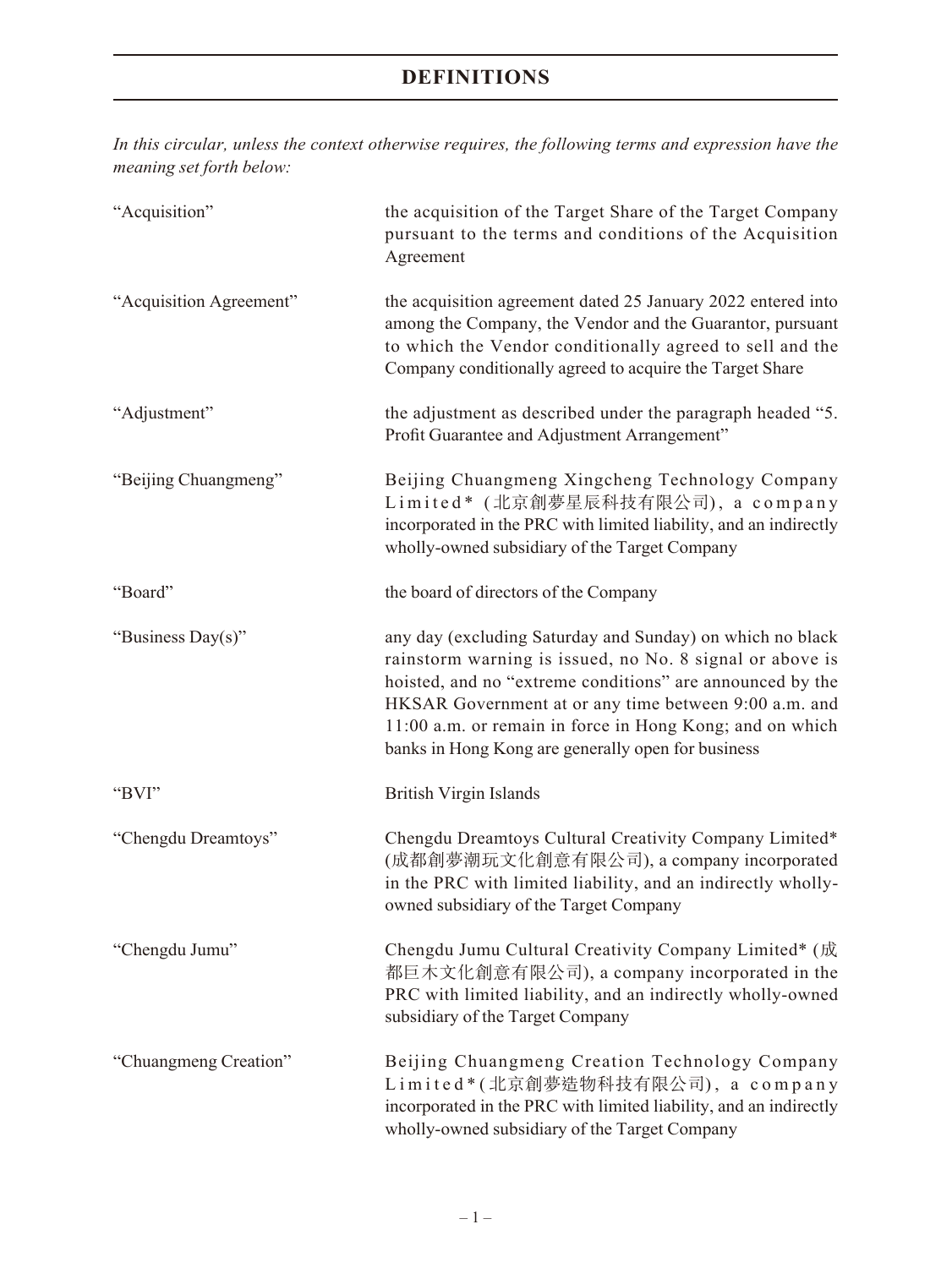*In this circular, unless the context otherwise requires, the following terms and expression have the meaning set forth below:*

| "Acquisition"           | the acquisition of the Target Share of the Target Company<br>pursuant to the terms and conditions of the Acquisition<br>Agreement                                                                                                                                                                                                                             |
|-------------------------|---------------------------------------------------------------------------------------------------------------------------------------------------------------------------------------------------------------------------------------------------------------------------------------------------------------------------------------------------------------|
| "Acquisition Agreement" | the acquisition agreement dated 25 January 2022 entered into<br>among the Company, the Vendor and the Guarantor, pursuant<br>to which the Vendor conditionally agreed to sell and the<br>Company conditionally agreed to acquire the Target Share                                                                                                             |
| "Adjustment"            | the adjustment as described under the paragraph headed "5.<br>Profit Guarantee and Adjustment Arrangement"                                                                                                                                                                                                                                                    |
| "Beijing Chuangmeng"    | Beijing Chuangmeng Xingcheng Technology Company<br>Limited* (北京創夢星辰科技有限公司), a company<br>incorporated in the PRC with limited liability, and an indirectly<br>wholly-owned subsidiary of the Target Company                                                                                                                                                   |
| "Board"                 | the board of directors of the Company                                                                                                                                                                                                                                                                                                                         |
| "Business Day(s)"       | any day (excluding Saturday and Sunday) on which no black<br>rainstorm warning is issued, no No. 8 signal or above is<br>hoisted, and no "extreme conditions" are announced by the<br>HKSAR Government at or any time between 9:00 a.m. and<br>11:00 a.m. or remain in force in Hong Kong; and on which<br>banks in Hong Kong are generally open for business |
| "BVI"                   | <b>British Virgin Islands</b>                                                                                                                                                                                                                                                                                                                                 |
| "Chengdu Dreamtoys"     | Chengdu Dreamtoys Cultural Creativity Company Limited*<br>(成都創夢潮玩文化創意有限公司), a company incorporated<br>in the PRC with limited liability, and an indirectly wholly-<br>owned subsidiary of the Target Company                                                                                                                                                  |
| "Chengdu Jumu"          | Chengdu Jumu Cultural Creativity Company Limited* (成<br>都巨木文化創意有限公司), a company incorporated in the<br>PRC with limited liability, and an indirectly wholly-owned<br>subsidiary of the Target Company                                                                                                                                                         |
| "Chuangmeng Creation"   | Beijing Chuangmeng Creation Technology Company<br>Limited*(北京創夢造物科技有限公司), a company<br>incorporated in the PRC with limited liability, and an indirectly<br>wholly-owned subsidiary of the Target Company                                                                                                                                                     |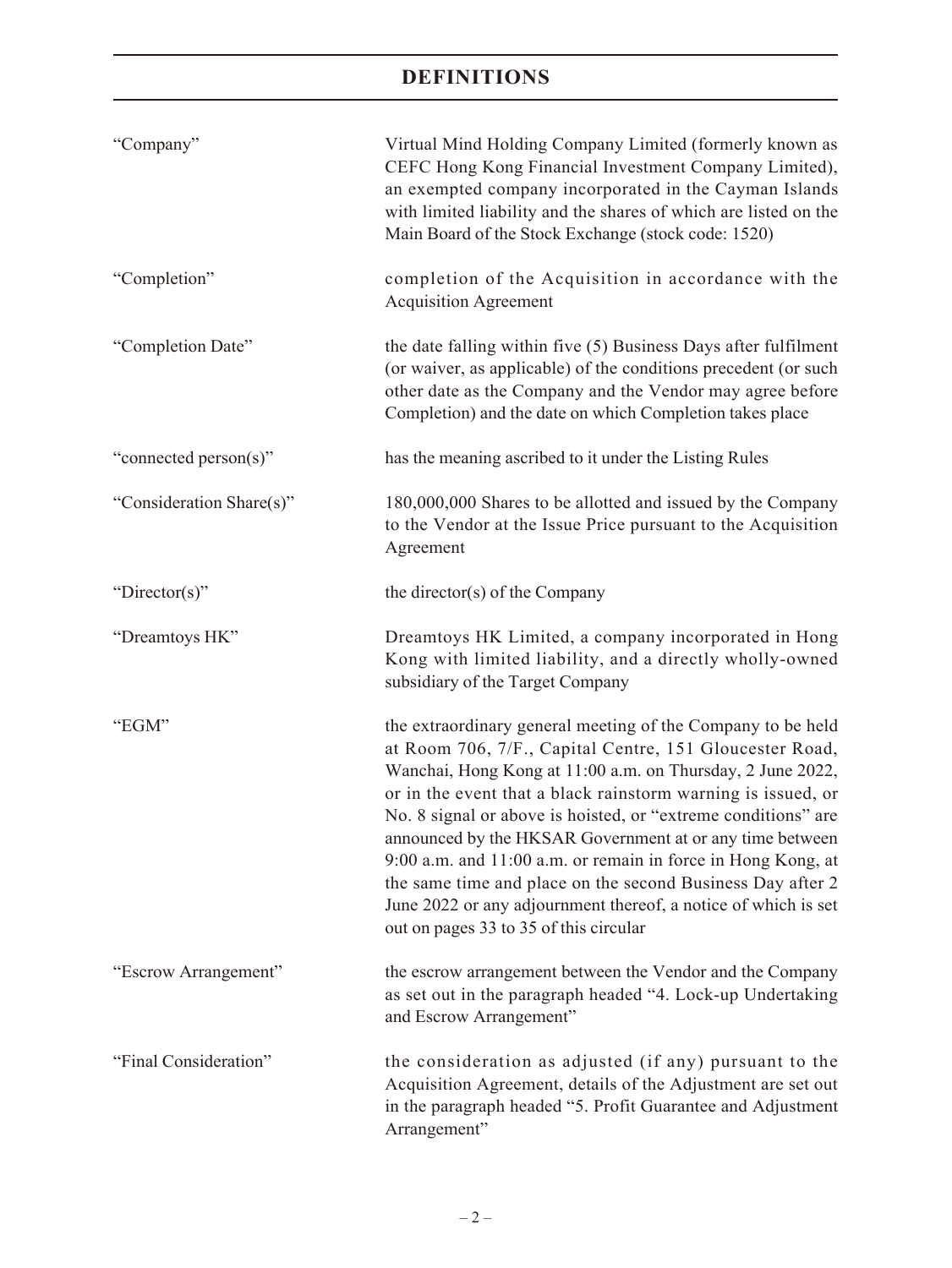| "Company"                | Virtual Mind Holding Company Limited (formerly known as<br>CEFC Hong Kong Financial Investment Company Limited),<br>an exempted company incorporated in the Cayman Islands<br>with limited liability and the shares of which are listed on the<br>Main Board of the Stock Exchange (stock code: 1520)                                                                                                                                                                                                                                                                                                                       |
|--------------------------|-----------------------------------------------------------------------------------------------------------------------------------------------------------------------------------------------------------------------------------------------------------------------------------------------------------------------------------------------------------------------------------------------------------------------------------------------------------------------------------------------------------------------------------------------------------------------------------------------------------------------------|
| "Completion"             | completion of the Acquisition in accordance with the<br><b>Acquisition Agreement</b>                                                                                                                                                                                                                                                                                                                                                                                                                                                                                                                                        |
| "Completion Date"        | the date falling within five (5) Business Days after fulfilment<br>(or waiver, as applicable) of the conditions precedent (or such<br>other date as the Company and the Vendor may agree before<br>Completion) and the date on which Completion takes place                                                                                                                                                                                                                                                                                                                                                                 |
| "connected person(s)"    | has the meaning ascribed to it under the Listing Rules                                                                                                                                                                                                                                                                                                                                                                                                                                                                                                                                                                      |
| "Consideration Share(s)" | 180,000,000 Shares to be allotted and issued by the Company<br>to the Vendor at the Issue Price pursuant to the Acquisition<br>Agreement                                                                                                                                                                                                                                                                                                                                                                                                                                                                                    |
| "Director(s)"            | the director(s) of the Company                                                                                                                                                                                                                                                                                                                                                                                                                                                                                                                                                                                              |
| "Dreamtoys HK"           | Dreamtoys HK Limited, a company incorporated in Hong<br>Kong with limited liability, and a directly wholly-owned<br>subsidiary of the Target Company                                                                                                                                                                                                                                                                                                                                                                                                                                                                        |
| "EGM"                    | the extraordinary general meeting of the Company to be held<br>at Room 706, 7/F., Capital Centre, 151 Gloucester Road,<br>Wanchai, Hong Kong at 11:00 a.m. on Thursday, 2 June 2022,<br>or in the event that a black rainstorm warning is issued, or<br>No. 8 signal or above is hoisted, or "extreme conditions" are<br>announced by the HKSAR Government at or any time between<br>9:00 a.m. and 11:00 a.m. or remain in force in Hong Kong, at<br>the same time and place on the second Business Day after 2<br>June 2022 or any adjournment thereof, a notice of which is set<br>out on pages 33 to 35 of this circular |
| "Escrow Arrangement"     | the escrow arrangement between the Vendor and the Company<br>as set out in the paragraph headed "4. Lock-up Undertaking<br>and Escrow Arrangement"                                                                                                                                                                                                                                                                                                                                                                                                                                                                          |
| "Final Consideration"    | the consideration as adjusted (if any) pursuant to the<br>Acquisition Agreement, details of the Adjustment are set out<br>in the paragraph headed "5. Profit Guarantee and Adjustment<br>Arrangement"                                                                                                                                                                                                                                                                                                                                                                                                                       |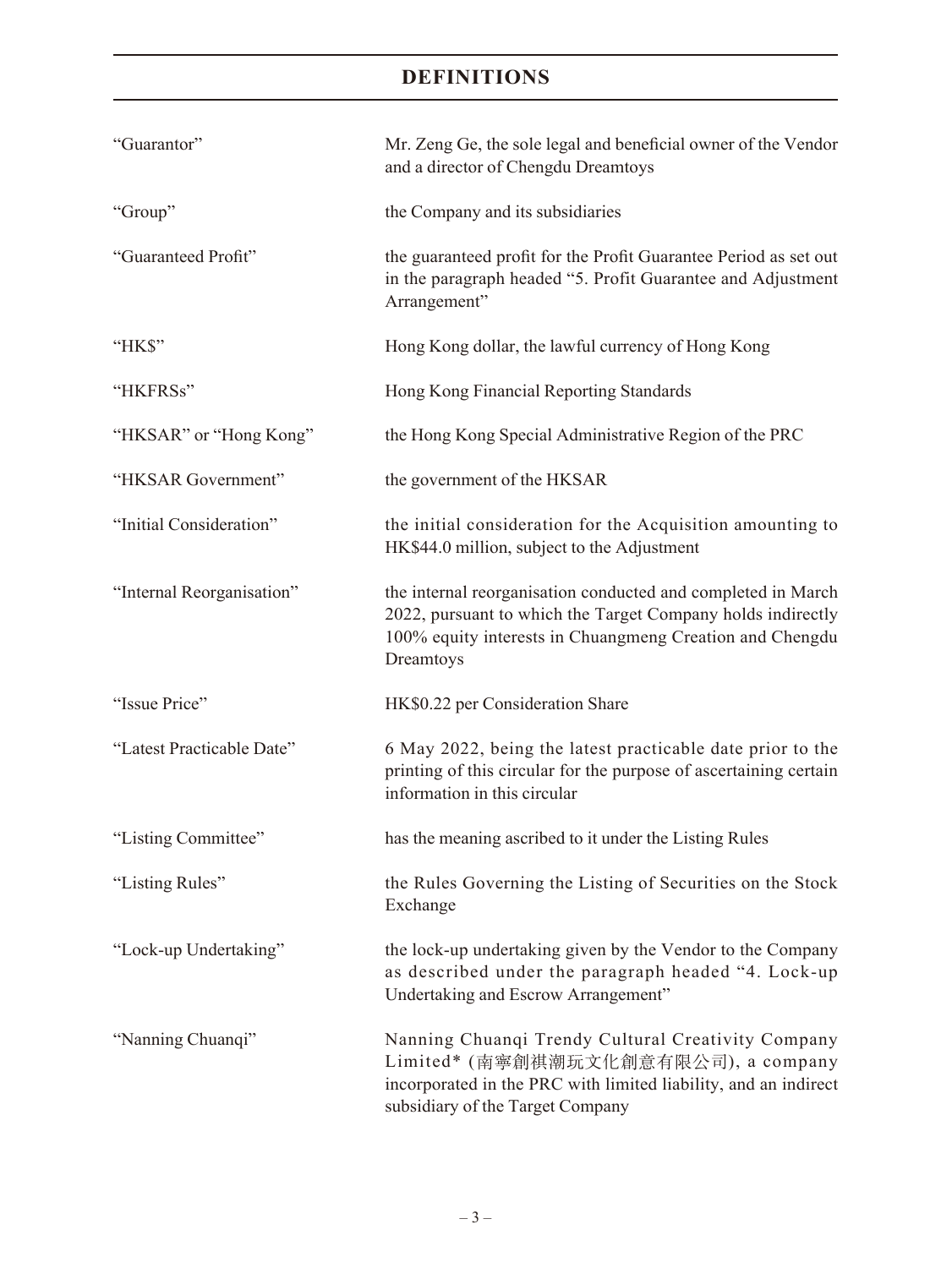| "Guarantor"               | Mr. Zeng Ge, the sole legal and beneficial owner of the Vendor<br>and a director of Chengdu Dreamtoys                                                                                                |
|---------------------------|------------------------------------------------------------------------------------------------------------------------------------------------------------------------------------------------------|
| "Group"                   | the Company and its subsidiaries                                                                                                                                                                     |
| "Guaranteed Profit"       | the guaranteed profit for the Profit Guarantee Period as set out<br>in the paragraph headed "5. Profit Guarantee and Adjustment<br>Arrangement"                                                      |
| "HK\$"                    | Hong Kong dollar, the lawful currency of Hong Kong                                                                                                                                                   |
| "HKFRSs"                  | Hong Kong Financial Reporting Standards                                                                                                                                                              |
| "HKSAR" or "Hong Kong"    | the Hong Kong Special Administrative Region of the PRC                                                                                                                                               |
| "HKSAR Government"        | the government of the HKSAR                                                                                                                                                                          |
| "Initial Consideration"   | the initial consideration for the Acquisition amounting to<br>HK\$44.0 million, subject to the Adjustment                                                                                            |
| "Internal Reorganisation" | the internal reorganisation conducted and completed in March<br>2022, pursuant to which the Target Company holds indirectly<br>100% equity interests in Chuangmeng Creation and Chengdu<br>Dreamtoys |
| "Issue Price"             | HK\$0.22 per Consideration Share                                                                                                                                                                     |
| "Latest Practicable Date" | 6 May 2022, being the latest practicable date prior to the<br>printing of this circular for the purpose of ascertaining certain<br>information in this circular                                      |
| "Listing Committee"       | has the meaning ascribed to it under the Listing Rules                                                                                                                                               |
| "Listing Rules"           | the Rules Governing the Listing of Securities on the Stock<br>Exchange                                                                                                                               |
| "Lock-up Undertaking"     | the lock-up undertaking given by the Vendor to the Company<br>as described under the paragraph headed "4. Lock-up<br>Undertaking and Escrow Arrangement"                                             |
| "Nanning Chuanqi"         | Nanning Chuanqi Trendy Cultural Creativity Company<br>Limited* (南寧創祺潮玩文化創意有限公司), a company<br>incorporated in the PRC with limited liability, and an indirect<br>subsidiary of the Target Company    |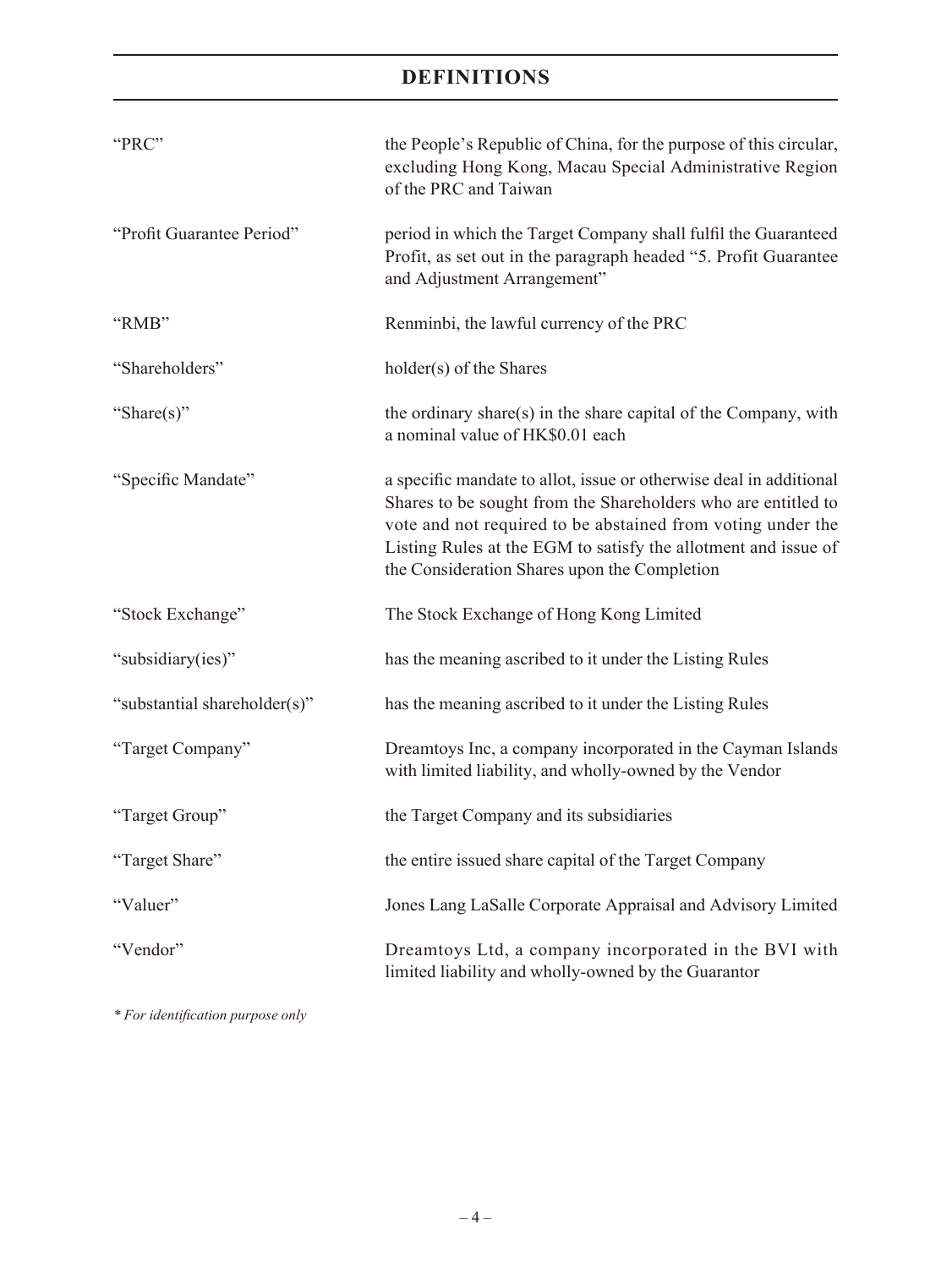| "PRC"                        | the People's Republic of China, for the purpose of this circular,<br>excluding Hong Kong, Macau Special Administrative Region<br>of the PRC and Taiwan                                                                                                                                                               |
|------------------------------|----------------------------------------------------------------------------------------------------------------------------------------------------------------------------------------------------------------------------------------------------------------------------------------------------------------------|
| "Profit Guarantee Period"    | period in which the Target Company shall fulfil the Guaranteed<br>Profit, as set out in the paragraph headed "5. Profit Guarantee<br>and Adjustment Arrangement"                                                                                                                                                     |
| "RMB"                        | Renminbi, the lawful currency of the PRC                                                                                                                                                                                                                                                                             |
| "Shareholders"               | holder(s) of the Shares                                                                                                                                                                                                                                                                                              |
| "Share(s)"                   | the ordinary share(s) in the share capital of the Company, with<br>a nominal value of HK\$0.01 each                                                                                                                                                                                                                  |
| "Specific Mandate"           | a specific mandate to allot, issue or otherwise deal in additional<br>Shares to be sought from the Shareholders who are entitled to<br>vote and not required to be abstained from voting under the<br>Listing Rules at the EGM to satisfy the allotment and issue of<br>the Consideration Shares upon the Completion |
| "Stock Exchange"             | The Stock Exchange of Hong Kong Limited                                                                                                                                                                                                                                                                              |
| "subsidiary(ies)"            | has the meaning ascribed to it under the Listing Rules                                                                                                                                                                                                                                                               |
| "substantial shareholder(s)" | has the meaning ascribed to it under the Listing Rules                                                                                                                                                                                                                                                               |
| "Target Company"             | Dreamtoys Inc, a company incorporated in the Cayman Islands<br>with limited liability, and wholly-owned by the Vendor                                                                                                                                                                                                |
| "Target Group"               | the Target Company and its subsidiaries                                                                                                                                                                                                                                                                              |
| "Target Share"               | the entire issued share capital of the Target Company                                                                                                                                                                                                                                                                |
| "Valuer"                     | Jones Lang LaSalle Corporate Appraisal and Advisory Limited                                                                                                                                                                                                                                                          |
| "Vendor"                     | Dreamtoys Ltd, a company incorporated in the BVI with<br>limited liability and wholly-owned by the Guarantor                                                                                                                                                                                                         |

*\* For identification purpose only*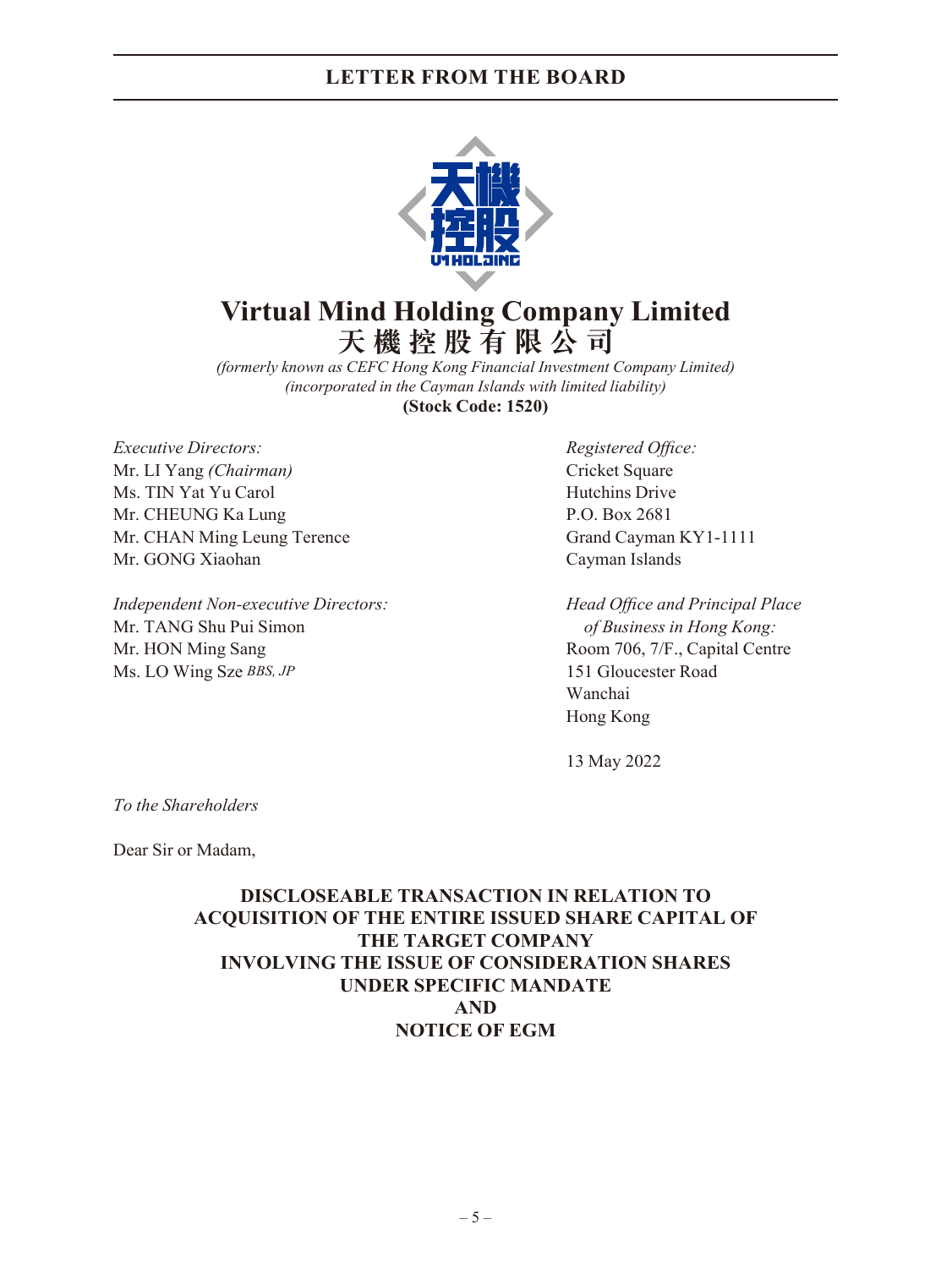

## **Virtual Mind Holding Company Limited 天機控股有限公司**

*(formerly known as CEFC Hong Kong Financial Investment Company Limited) (incorporated in the Cayman Islands with limited liability)* **(Stock Code: 1520)**

*Executive Directors: Registered Office:* Mr. LI Yang *(Chairman)* Cricket Square Ms. TIN Yat Yu Carol Hutchins Drive Mr. CHEUNG Ka Lung P.O. Box 2681 Mr. CHAN Ming Leung Terence Grand Cayman KY1-1111 Mr. GONG Xiaohan Cayman Islands

*Independent Non-executive Directors: Head Office and Principal Place*  Mr. TANG Shu Pui Simon *of Business in Hong Kong:* Mr. HON Ming Sang Room 706, 7/F., Capital Centre Ms. LO Wing Sze *BBS, JP* 151 Gloucester Road

Wanchai Hong Kong

13 May 2022

*To the Shareholders*

Dear Sir or Madam,

**DISCLOSEABLE TRANSACTION IN RELATION TO ACQUISITION OF THE ENTIRE ISSUED SHARE CAPITAL OF THE TARGET COMPANY INVOLVING THE ISSUE OF CONSIDERATION SHARES UNDER SPECIFIC MANDATE AND NOTICE OF EGM**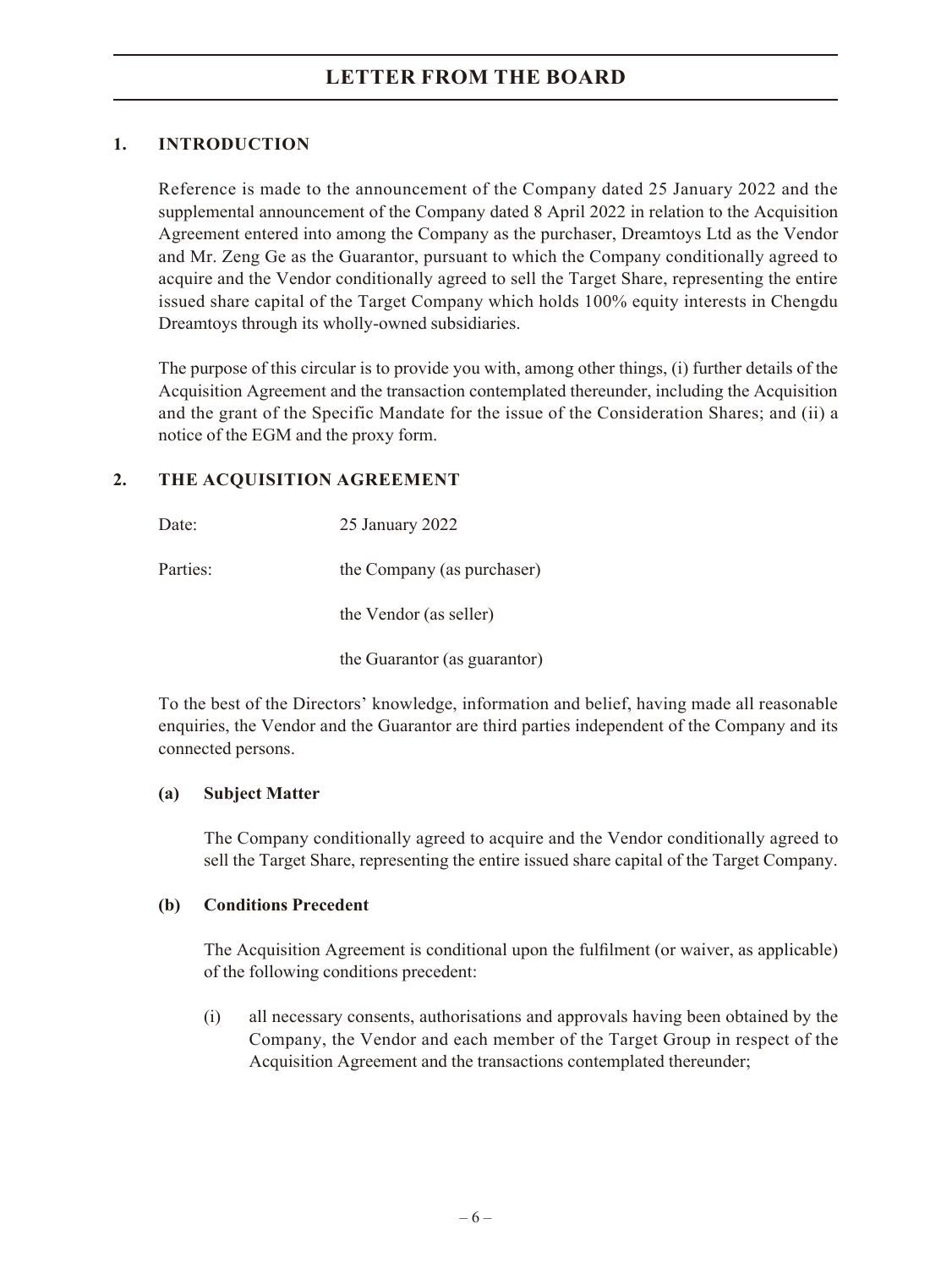### **1. INTRODUCTION**

Reference is made to the announcement of the Company dated 25 January 2022 and the supplemental announcement of the Company dated 8 April 2022 in relation to the Acquisition Agreement entered into among the Company as the purchaser, Dreamtoys Ltd as the Vendor and Mr. Zeng Ge as the Guarantor, pursuant to which the Company conditionally agreed to acquire and the Vendor conditionally agreed to sell the Target Share, representing the entire issued share capital of the Target Company which holds 100% equity interests in Chengdu Dreamtoys through its wholly-owned subsidiaries.

The purpose of this circular is to provide you with, among other things, (i) further details of the Acquisition Agreement and the transaction contemplated thereunder, including the Acquisition and the grant of the Specific Mandate for the issue of the Consideration Shares; and (ii) a notice of the EGM and the proxy form.

### **2. THE ACQUISITION AGREEMENT**

| Date:    | 25 January 2022              |
|----------|------------------------------|
| Parties: | the Company (as purchaser)   |
|          | the Vendor (as seller)       |
|          | the Guarantor (as guarantor) |

To the best of the Directors' knowledge, information and belief, having made all reasonable enquiries, the Vendor and the Guarantor are third parties independent of the Company and its connected persons.

### **(a) Subject Matter**

The Company conditionally agreed to acquire and the Vendor conditionally agreed to sell the Target Share, representing the entire issued share capital of the Target Company.

#### **(b) Conditions Precedent**

The Acquisition Agreement is conditional upon the fulfilment (or waiver, as applicable) of the following conditions precedent:

(i) all necessary consents, authorisations and approvals having been obtained by the Company, the Vendor and each member of the Target Group in respect of the Acquisition Agreement and the transactions contemplated thereunder;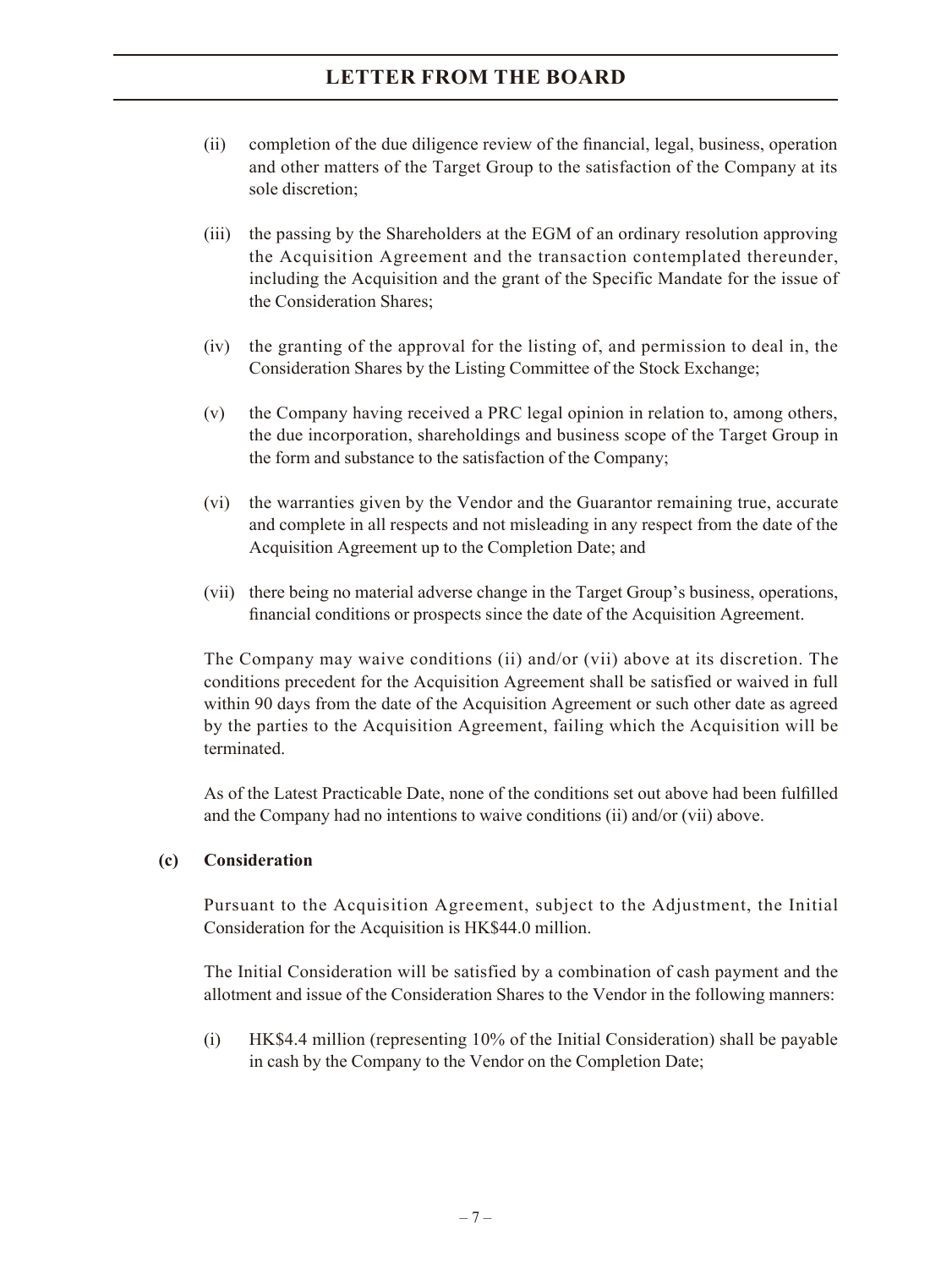- (ii) completion of the due diligence review of the financial, legal, business, operation and other matters of the Target Group to the satisfaction of the Company at its sole discretion;
- (iii) the passing by the Shareholders at the EGM of an ordinary resolution approving the Acquisition Agreement and the transaction contemplated thereunder, including the Acquisition and the grant of the Specific Mandate for the issue of the Consideration Shares;
- (iv) the granting of the approval for the listing of, and permission to deal in, the Consideration Shares by the Listing Committee of the Stock Exchange;
- (v) the Company having received a PRC legal opinion in relation to, among others, the due incorporation, shareholdings and business scope of the Target Group in the form and substance to the satisfaction of the Company;
- (vi) the warranties given by the Vendor and the Guarantor remaining true, accurate and complete in all respects and not misleading in any respect from the date of the Acquisition Agreement up to the Completion Date; and
- (vii) there being no material adverse change in the Target Group's business, operations, financial conditions or prospects since the date of the Acquisition Agreement.

The Company may waive conditions (ii) and/or (vii) above at its discretion. The conditions precedent for the Acquisition Agreement shall be satisfied or waived in full within 90 days from the date of the Acquisition Agreement or such other date as agreed by the parties to the Acquisition Agreement, failing which the Acquisition will be terminated.

As of the Latest Practicable Date, none of the conditions set out above had been fulfilled and the Company had no intentions to waive conditions (ii) and/or (vii) above.

#### **(c) Consideration**

Pursuant to the Acquisition Agreement, subject to the Adjustment, the Initial Consideration for the Acquisition is HK\$44.0 million.

The Initial Consideration will be satisfied by a combination of cash payment and the allotment and issue of the Consideration Shares to the Vendor in the following manners:

(i) HK\$4.4 million (representing 10% of the Initial Consideration) shall be payable in cash by the Company to the Vendor on the Completion Date;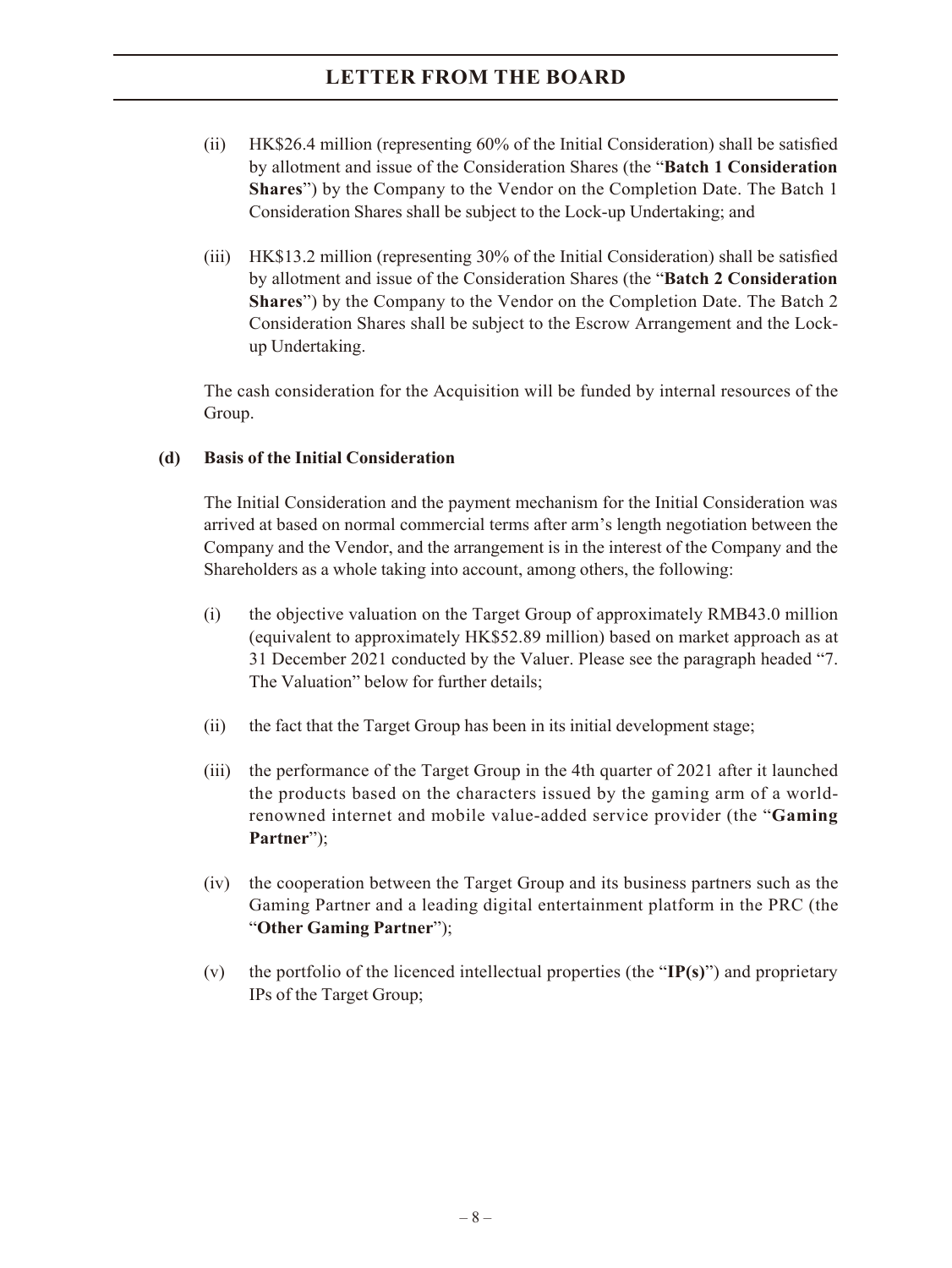- (ii) HK\$26.4 million (representing 60% of the Initial Consideration) shall be satisfied by allotment and issue of the Consideration Shares (the "**Batch 1 Consideration Shares**") by the Company to the Vendor on the Completion Date. The Batch 1 Consideration Shares shall be subject to the Lock-up Undertaking; and
- (iii) HK\$13.2 million (representing 30% of the Initial Consideration) shall be satisfied by allotment and issue of the Consideration Shares (the "**Batch 2 Consideration Shares**") by the Company to the Vendor on the Completion Date. The Batch 2 Consideration Shares shall be subject to the Escrow Arrangement and the Lockup Undertaking.

The cash consideration for the Acquisition will be funded by internal resources of the Group.

### **(d) Basis of the Initial Consideration**

The Initial Consideration and the payment mechanism for the Initial Consideration was arrived at based on normal commercial terms after arm's length negotiation between the Company and the Vendor, and the arrangement is in the interest of the Company and the Shareholders as a whole taking into account, among others, the following:

- (i) the objective valuation on the Target Group of approximately RMB43.0 million (equivalent to approximately HK\$52.89 million) based on market approach as at 31 December 2021 conducted by the Valuer. Please see the paragraph headed "7. The Valuation" below for further details;
- (ii) the fact that the Target Group has been in its initial development stage;
- (iii) the performance of the Target Group in the 4th quarter of 2021 after it launched the products based on the characters issued by the gaming arm of a worldrenowned internet and mobile value-added service provider (the "**Gaming Partner**");
- (iv) the cooperation between the Target Group and its business partners such as the Gaming Partner and a leading digital entertainment platform in the PRC (the "**Other Gaming Partner**");
- (v) the portfolio of the licenced intellectual properties (the "**IP(s)**") and proprietary IPs of the Target Group;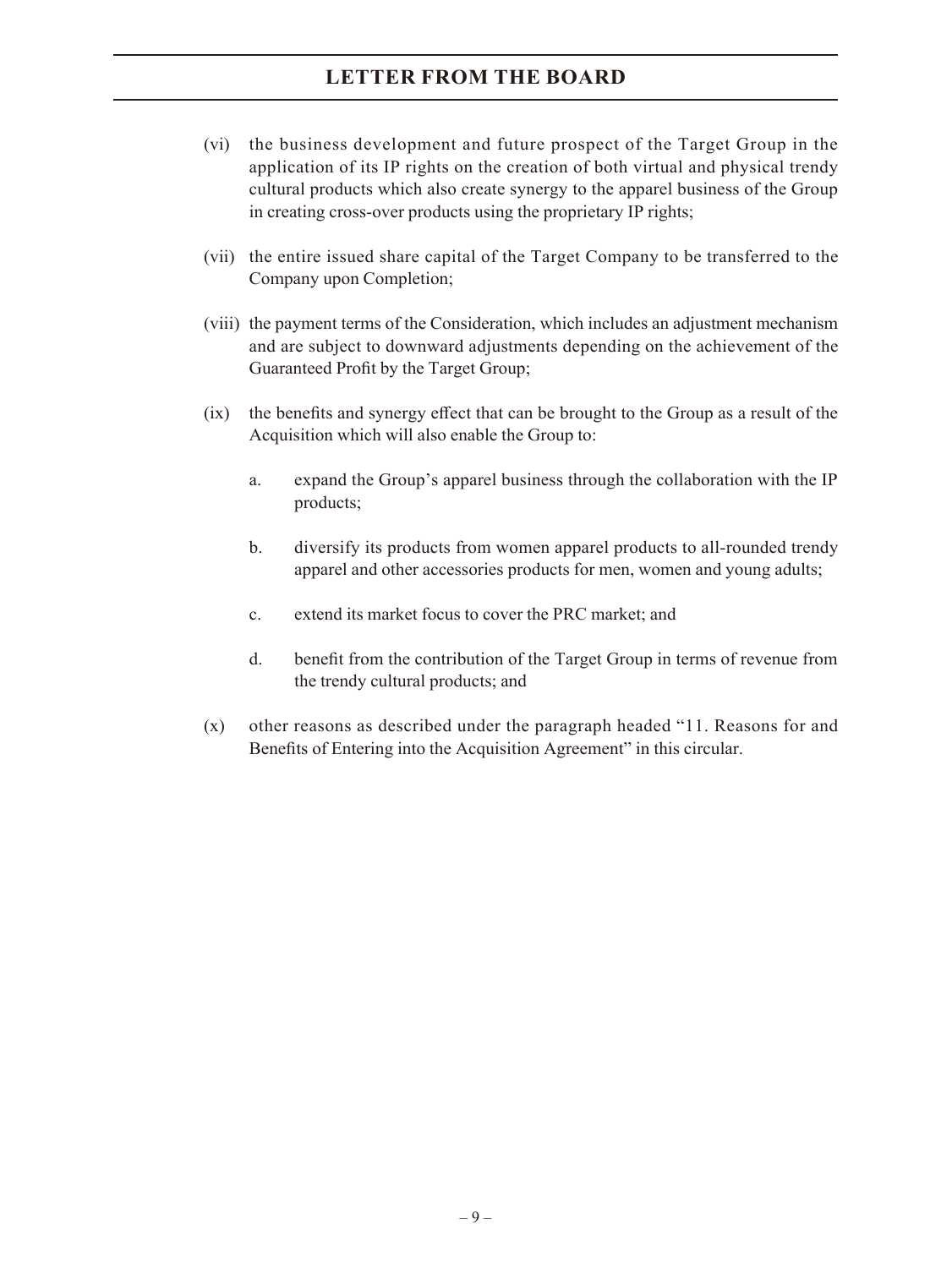- (vi) the business development and future prospect of the Target Group in the application of its IP rights on the creation of both virtual and physical trendy cultural products which also create synergy to the apparel business of the Group in creating cross-over products using the proprietary IP rights;
- (vii) the entire issued share capital of the Target Company to be transferred to the Company upon Completion;
- (viii) the payment terms of the Consideration, which includes an adjustment mechanism and are subject to downward adjustments depending on the achievement of the Guaranteed Profit by the Target Group;
- (ix) the benefits and synergy effect that can be brought to the Group as a result of the Acquisition which will also enable the Group to:
	- a. expand the Group's apparel business through the collaboration with the IP products;
	- b. diversify its products from women apparel products to all-rounded trendy apparel and other accessories products for men, women and young adults;
	- c. extend its market focus to cover the PRC market; and
	- d. benefit from the contribution of the Target Group in terms of revenue from the trendy cultural products; and
- (x) other reasons as described under the paragraph headed "11. Reasons for and Benefits of Entering into the Acquisition Agreement" in this circular.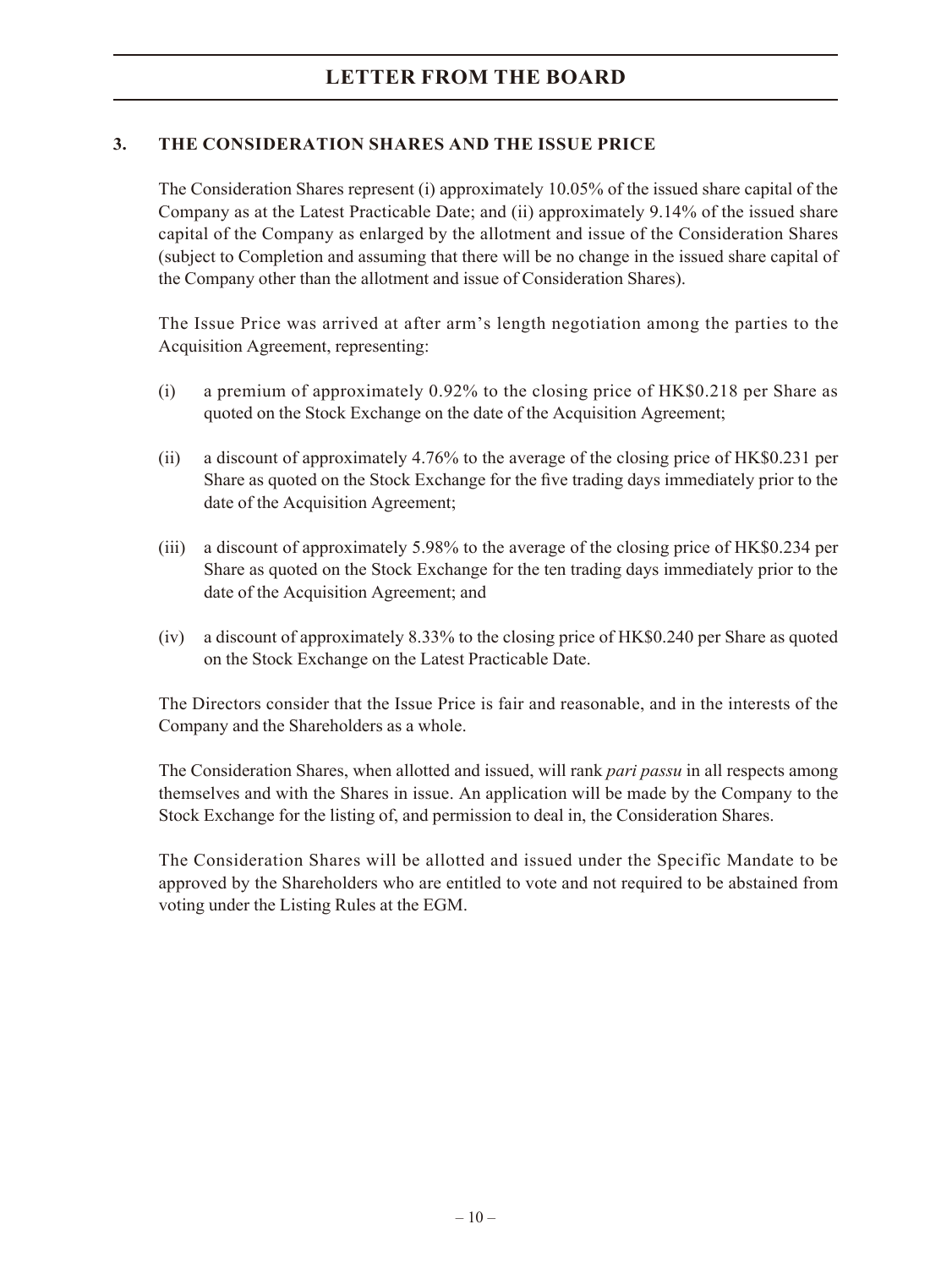### **3. THE CONSIDERATION SHARES AND THE ISSUE PRICE**

The Consideration Shares represent (i) approximately 10.05% of the issued share capital of the Company as at the Latest Practicable Date; and (ii) approximately 9.14% of the issued share capital of the Company as enlarged by the allotment and issue of the Consideration Shares (subject to Completion and assuming that there will be no change in the issued share capital of the Company other than the allotment and issue of Consideration Shares).

The Issue Price was arrived at after arm's length negotiation among the parties to the Acquisition Agreement, representing:

- (i) a premium of approximately 0.92% to the closing price of HK\$0.218 per Share as quoted on the Stock Exchange on the date of the Acquisition Agreement;
- (ii) a discount of approximately 4.76% to the average of the closing price of HK\$0.231 per Share as quoted on the Stock Exchange for the five trading days immediately prior to the date of the Acquisition Agreement;
- (iii) a discount of approximately 5.98% to the average of the closing price of HK\$0.234 per Share as quoted on the Stock Exchange for the ten trading days immediately prior to the date of the Acquisition Agreement; and
- (iv) a discount of approximately 8.33% to the closing price of HK\$0.240 per Share as quoted on the Stock Exchange on the Latest Practicable Date.

The Directors consider that the Issue Price is fair and reasonable, and in the interests of the Company and the Shareholders as a whole.

The Consideration Shares, when allotted and issued, will rank *pari passu* in all respects among themselves and with the Shares in issue. An application will be made by the Company to the Stock Exchange for the listing of, and permission to deal in, the Consideration Shares.

The Consideration Shares will be allotted and issued under the Specific Mandate to be approved by the Shareholders who are entitled to vote and not required to be abstained from voting under the Listing Rules at the EGM.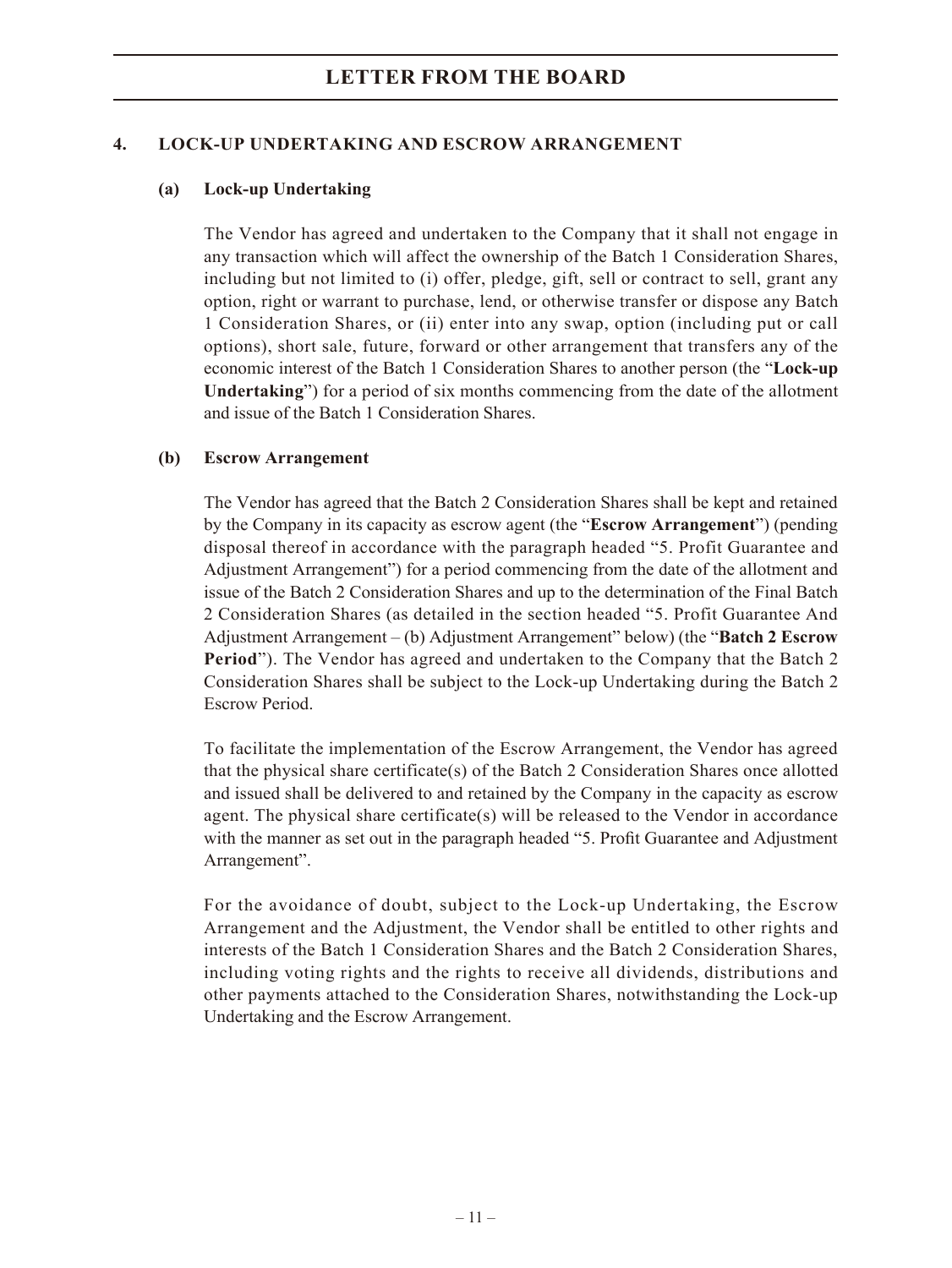### **4. LOCK-UP UNDERTAKING AND ESCROW ARRANGEMENT**

### **(a) Lock-up Undertaking**

The Vendor has agreed and undertaken to the Company that it shall not engage in any transaction which will affect the ownership of the Batch 1 Consideration Shares, including but not limited to (i) offer, pledge, gift, sell or contract to sell, grant any option, right or warrant to purchase, lend, or otherwise transfer or dispose any Batch 1 Consideration Shares, or (ii) enter into any swap, option (including put or call options), short sale, future, forward or other arrangement that transfers any of the economic interest of the Batch 1 Consideration Shares to another person (the "**Lock-up Undertaking**") for a period of six months commencing from the date of the allotment and issue of the Batch 1 Consideration Shares.

### **(b) Escrow Arrangement**

The Vendor has agreed that the Batch 2 Consideration Shares shall be kept and retained by the Company in its capacity as escrow agent (the "**Escrow Arrangement**") (pending disposal thereof in accordance with the paragraph headed "5. Profit Guarantee and Adjustment Arrangement") for a period commencing from the date of the allotment and issue of the Batch 2 Consideration Shares and up to the determination of the Final Batch 2 Consideration Shares (as detailed in the section headed "5. Profit Guarantee And Adjustment Arrangement – (b) Adjustment Arrangement" below) (the "**Batch 2 Escrow Period**"). The Vendor has agreed and undertaken to the Company that the Batch 2 Consideration Shares shall be subject to the Lock-up Undertaking during the Batch 2 Escrow Period.

To facilitate the implementation of the Escrow Arrangement, the Vendor has agreed that the physical share certificate(s) of the Batch 2 Consideration Shares once allotted and issued shall be delivered to and retained by the Company in the capacity as escrow agent. The physical share certificate(s) will be released to the Vendor in accordance with the manner as set out in the paragraph headed "5. Profit Guarantee and Adjustment Arrangement".

For the avoidance of doubt, subject to the Lock-up Undertaking, the Escrow Arrangement and the Adjustment, the Vendor shall be entitled to other rights and interests of the Batch 1 Consideration Shares and the Batch 2 Consideration Shares, including voting rights and the rights to receive all dividends, distributions and other payments attached to the Consideration Shares, notwithstanding the Lock-up Undertaking and the Escrow Arrangement.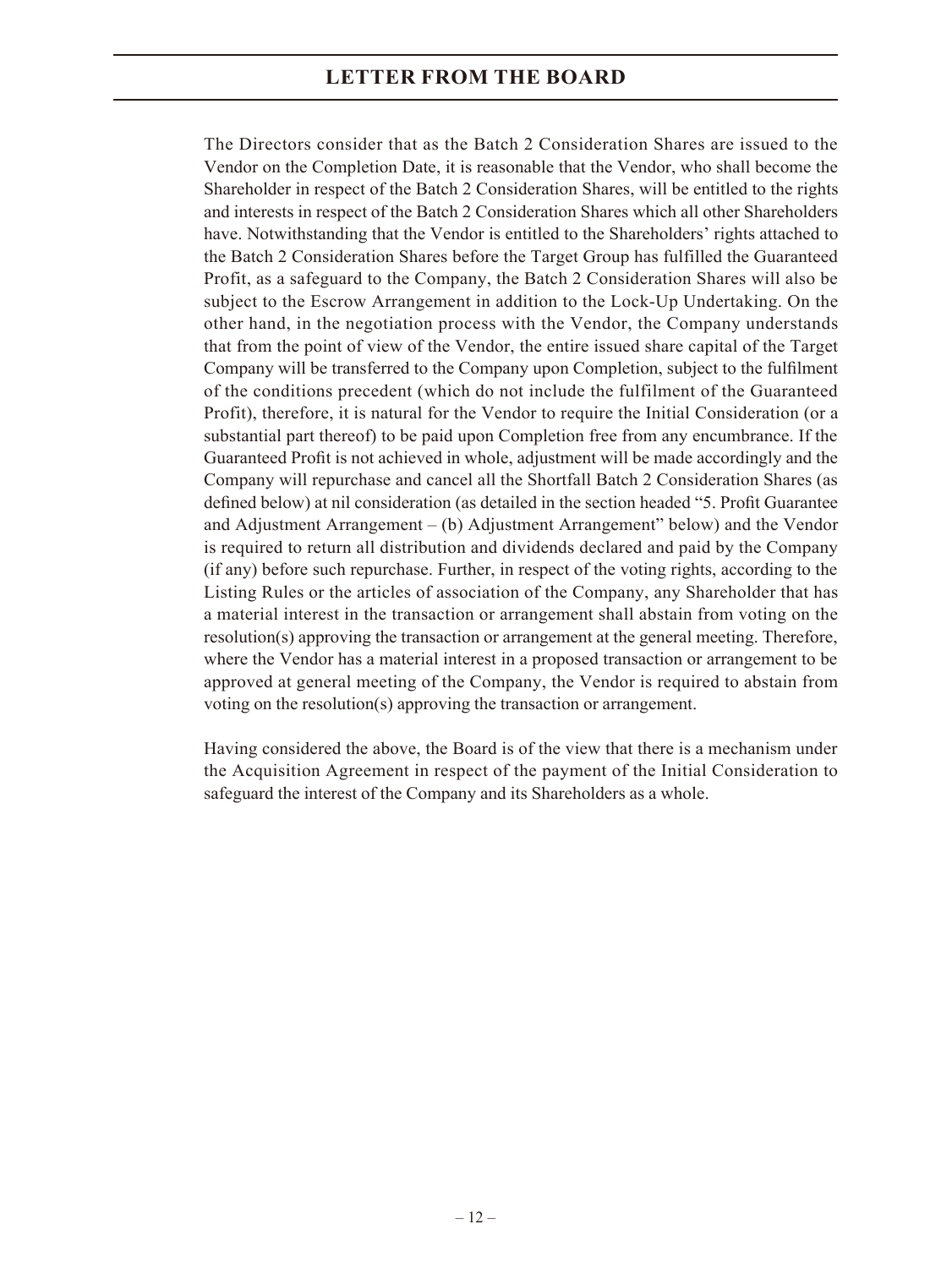The Directors consider that as the Batch 2 Consideration Shares are issued to the Vendor on the Completion Date, it is reasonable that the Vendor, who shall become the Shareholder in respect of the Batch 2 Consideration Shares, will be entitled to the rights and interests in respect of the Batch 2 Consideration Shares which all other Shareholders have. Notwithstanding that the Vendor is entitled to the Shareholders' rights attached to the Batch 2 Consideration Shares before the Target Group has fulfilled the Guaranteed Profit, as a safeguard to the Company, the Batch 2 Consideration Shares will also be subject to the Escrow Arrangement in addition to the Lock-Up Undertaking. On the other hand, in the negotiation process with the Vendor, the Company understands that from the point of view of the Vendor, the entire issued share capital of the Target Company will be transferred to the Company upon Completion, subject to the fulfilment of the conditions precedent (which do not include the fulfilment of the Guaranteed Profit), therefore, it is natural for the Vendor to require the Initial Consideration (or a substantial part thereof) to be paid upon Completion free from any encumbrance. If the Guaranteed Profit is not achieved in whole, adjustment will be made accordingly and the Company will repurchase and cancel all the Shortfall Batch 2 Consideration Shares (as defined below) at nil consideration (as detailed in the section headed "5. Profit Guarantee and Adjustment Arrangement – (b) Adjustment Arrangement" below) and the Vendor is required to return all distribution and dividends declared and paid by the Company (if any) before such repurchase. Further, in respect of the voting rights, according to the Listing Rules or the articles of association of the Company, any Shareholder that has a material interest in the transaction or arrangement shall abstain from voting on the resolution(s) approving the transaction or arrangement at the general meeting. Therefore, where the Vendor has a material interest in a proposed transaction or arrangement to be approved at general meeting of the Company, the Vendor is required to abstain from voting on the resolution(s) approving the transaction or arrangement.

Having considered the above, the Board is of the view that there is a mechanism under the Acquisition Agreement in respect of the payment of the Initial Consideration to safeguard the interest of the Company and its Shareholders as a whole.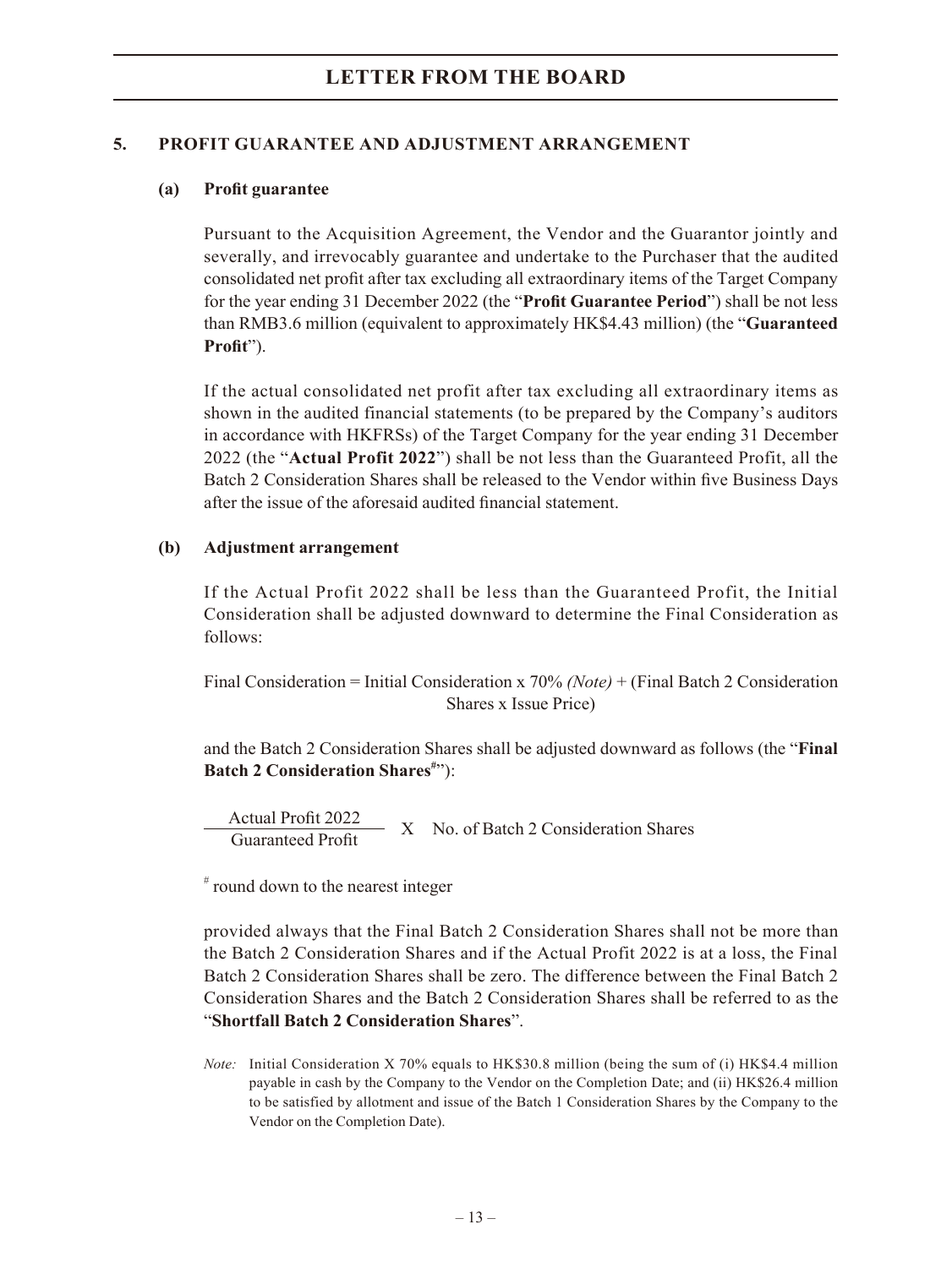### **5. PROFIT GUARANTEE AND ADJUSTMENT ARRANGEMENT**

### **(a) Profit guarantee**

Pursuant to the Acquisition Agreement, the Vendor and the Guarantor jointly and severally, and irrevocably guarantee and undertake to the Purchaser that the audited consolidated net profit after tax excluding all extraordinary items of the Target Company for the year ending 31 December 2022 (the "**Profit Guarantee Period**") shall be not less than RMB3.6 million (equivalent to approximately HK\$4.43 million) (the "**Guaranteed Profit**").

If the actual consolidated net profit after tax excluding all extraordinary items as shown in the audited financial statements (to be prepared by the Company's auditors in accordance with HKFRSs) of the Target Company for the year ending 31 December 2022 (the "**Actual Profit 2022**") shall be not less than the Guaranteed Profit, all the Batch 2 Consideration Shares shall be released to the Vendor within five Business Days after the issue of the aforesaid audited financial statement.

### **(b) Adjustment arrangement**

If the Actual Profit 2022 shall be less than the Guaranteed Profit, the Initial Consideration shall be adjusted downward to determine the Final Consideration as follows:

Final Consideration = Initial Consideration x 70% *(Note)* + (Final Batch 2 Consideration Shares x Issue Price)

and the Batch 2 Consideration Shares shall be adjusted downward as follows (the "**Final**  Batch 2 Consideration Shares<sup>#</sup>"):

Actual Profit 2022<br>Guaranteed Profit X No. of Batch 2 Consideration Shares

# round down to the nearest integer

provided always that the Final Batch 2 Consideration Shares shall not be more than the Batch 2 Consideration Shares and if the Actual Profit 2022 is at a loss, the Final Batch 2 Consideration Shares shall be zero. The difference between the Final Batch 2 Consideration Shares and the Batch 2 Consideration Shares shall be referred to as the "**Shortfall Batch 2 Consideration Shares**".

*Note:* Initial Consideration X 70% equals to HK\$30.8 million (being the sum of (i) HK\$4.4 million payable in cash by the Company to the Vendor on the Completion Date; and (ii) HK\$26.4 million to be satisfied by allotment and issue of the Batch 1 Consideration Shares by the Company to the Vendor on the Completion Date).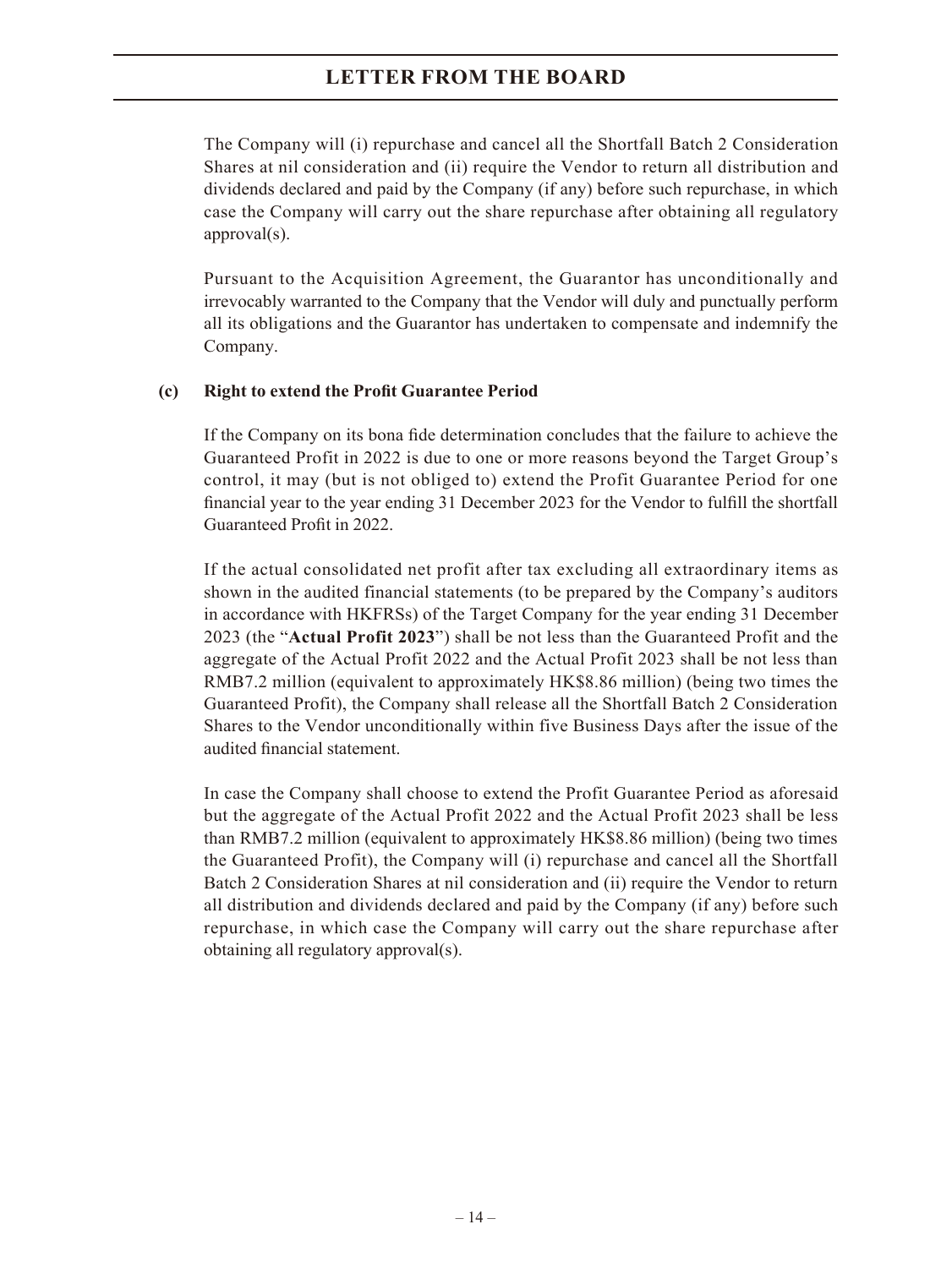The Company will (i) repurchase and cancel all the Shortfall Batch 2 Consideration Shares at nil consideration and (ii) require the Vendor to return all distribution and dividends declared and paid by the Company (if any) before such repurchase, in which case the Company will carry out the share repurchase after obtaining all regulatory approval(s).

Pursuant to the Acquisition Agreement, the Guarantor has unconditionally and irrevocably warranted to the Company that the Vendor will duly and punctually perform all its obligations and the Guarantor has undertaken to compensate and indemnify the Company.

#### **(c) Right to extend the Profit Guarantee Period**

If the Company on its bona fide determination concludes that the failure to achieve the Guaranteed Profit in 2022 is due to one or more reasons beyond the Target Group's control, it may (but is not obliged to) extend the Profit Guarantee Period for one financial year to the year ending 31 December 2023 for the Vendor to fulfill the shortfall Guaranteed Profit in 2022.

If the actual consolidated net profit after tax excluding all extraordinary items as shown in the audited financial statements (to be prepared by the Company's auditors in accordance with HKFRSs) of the Target Company for the year ending 31 December 2023 (the "**Actual Profit 2023**") shall be not less than the Guaranteed Profit and the aggregate of the Actual Profit 2022 and the Actual Profit 2023 shall be not less than RMB7.2 million (equivalent to approximately HK\$8.86 million) (being two times the Guaranteed Profit), the Company shall release all the Shortfall Batch 2 Consideration Shares to the Vendor unconditionally within five Business Days after the issue of the audited financial statement.

In case the Company shall choose to extend the Profit Guarantee Period as aforesaid but the aggregate of the Actual Profit 2022 and the Actual Profit 2023 shall be less than RMB7.2 million (equivalent to approximately HK\$8.86 million) (being two times the Guaranteed Profit), the Company will (i) repurchase and cancel all the Shortfall Batch 2 Consideration Shares at nil consideration and (ii) require the Vendor to return all distribution and dividends declared and paid by the Company (if any) before such repurchase, in which case the Company will carry out the share repurchase after obtaining all regulatory approval(s).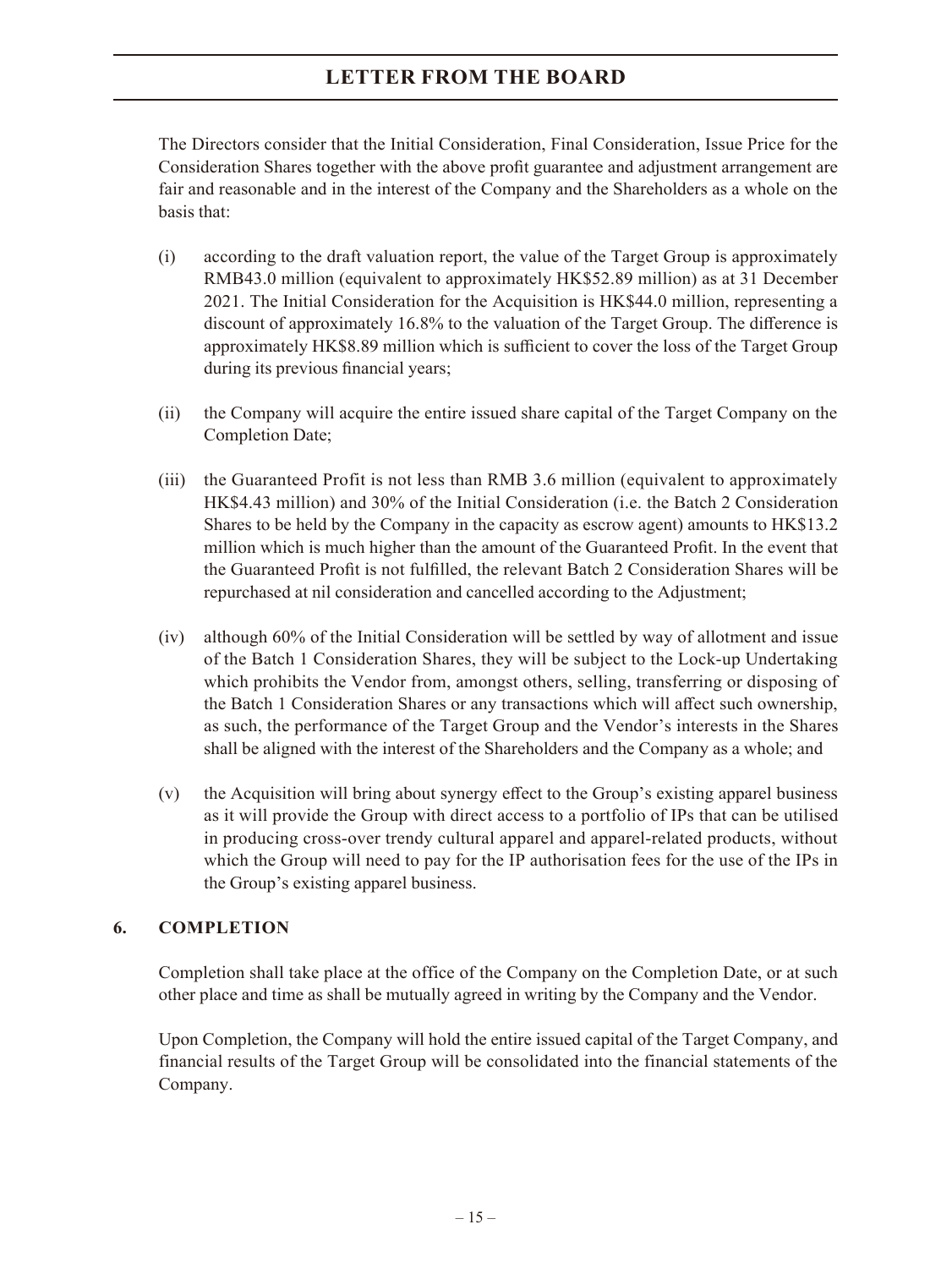The Directors consider that the Initial Consideration, Final Consideration, Issue Price for the Consideration Shares together with the above profit guarantee and adjustment arrangement are fair and reasonable and in the interest of the Company and the Shareholders as a whole on the basis that:

- (i) according to the draft valuation report, the value of the Target Group is approximately RMB43.0 million (equivalent to approximately HK\$52.89 million) as at 31 December 2021. The Initial Consideration for the Acquisition is HK\$44.0 million, representing a discount of approximately 16.8% to the valuation of the Target Group. The difference is approximately HK\$8.89 million which is sufficient to cover the loss of the Target Group during its previous financial years;
- (ii) the Company will acquire the entire issued share capital of the Target Company on the Completion Date;
- (iii) the Guaranteed Profit is not less than RMB 3.6 million (equivalent to approximately HK\$4.43 million) and 30% of the Initial Consideration (i.e. the Batch 2 Consideration Shares to be held by the Company in the capacity as escrow agent) amounts to HK\$13.2 million which is much higher than the amount of the Guaranteed Profit. In the event that the Guaranteed Profit is not fulfilled, the relevant Batch 2 Consideration Shares will be repurchased at nil consideration and cancelled according to the Adjustment;
- (iv) although 60% of the Initial Consideration will be settled by way of allotment and issue of the Batch 1 Consideration Shares, they will be subject to the Lock-up Undertaking which prohibits the Vendor from, amongst others, selling, transferring or disposing of the Batch 1 Consideration Shares or any transactions which will affect such ownership, as such, the performance of the Target Group and the Vendor's interests in the Shares shall be aligned with the interest of the Shareholders and the Company as a whole; and
- (v) the Acquisition will bring about synergy effect to the Group's existing apparel business as it will provide the Group with direct access to a portfolio of IPs that can be utilised in producing cross-over trendy cultural apparel and apparel-related products, without which the Group will need to pay for the IP authorisation fees for the use of the IPs in the Group's existing apparel business.

### **6. COMPLETION**

Completion shall take place at the office of the Company on the Completion Date, or at such other place and time as shall be mutually agreed in writing by the Company and the Vendor.

Upon Completion, the Company will hold the entire issued capital of the Target Company, and financial results of the Target Group will be consolidated into the financial statements of the Company.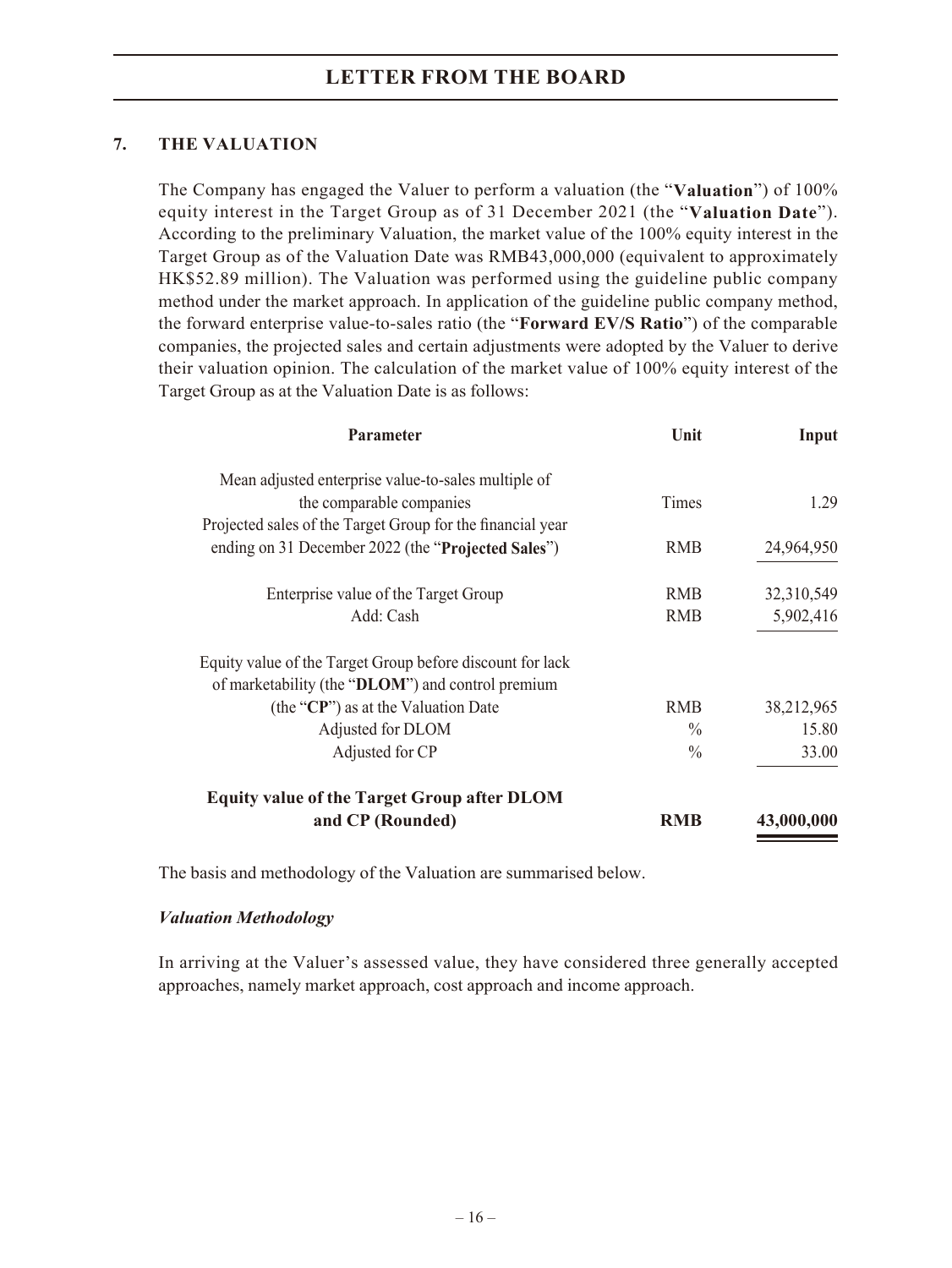### **7. THE VALUATION**

The Company has engaged the Valuer to perform a valuation (the "**Valuation**") of 100% equity interest in the Target Group as of 31 December 2021 (the "**Valuation Date**"). According to the preliminary Valuation, the market value of the 100% equity interest in the Target Group as of the Valuation Date was RMB43,000,000 (equivalent to approximately HK\$52.89 million). The Valuation was performed using the guideline public company method under the market approach. In application of the guideline public company method, the forward enterprise value-to-sales ratio (the "**Forward EV/S Ratio**") of the comparable companies, the projected sales and certain adjustments were adopted by the Valuer to derive their valuation opinion. The calculation of the market value of 100% equity interest of the Target Group as at the Valuation Date is as follows:

| <b>Parameter</b>                                           | Unit          | Input      |  |
|------------------------------------------------------------|---------------|------------|--|
| Mean adjusted enterprise value-to-sales multiple of        |               |            |  |
| the comparable companies                                   | <b>Times</b>  | 1.29       |  |
| Projected sales of the Target Group for the financial year |               |            |  |
| ending on 31 December 2022 (the "Projected Sales")         | <b>RMB</b>    | 24,964,950 |  |
| Enterprise value of the Target Group                       | <b>RMB</b>    | 32,310,549 |  |
| Add: Cash                                                  | <b>RMB</b>    | 5,902,416  |  |
| Equity value of the Target Group before discount for lack  |               |            |  |
| of marketability (the "DLOM") and control premium          |               |            |  |
| (the "CP") as at the Valuation Date                        | <b>RMB</b>    | 38,212,965 |  |
| Adjusted for DLOM                                          | $\frac{0}{0}$ | 15.80      |  |
| Adjusted for CP                                            | $\frac{0}{0}$ | 33.00      |  |
| <b>Equity value of the Target Group after DLOM</b>         |               |            |  |
| and CP (Rounded)                                           | <b>RMB</b>    | 43,000,000 |  |

The basis and methodology of the Valuation are summarised below.

### *Valuation Methodology*

In arriving at the Valuer's assessed value, they have considered three generally accepted approaches, namely market approach, cost approach and income approach.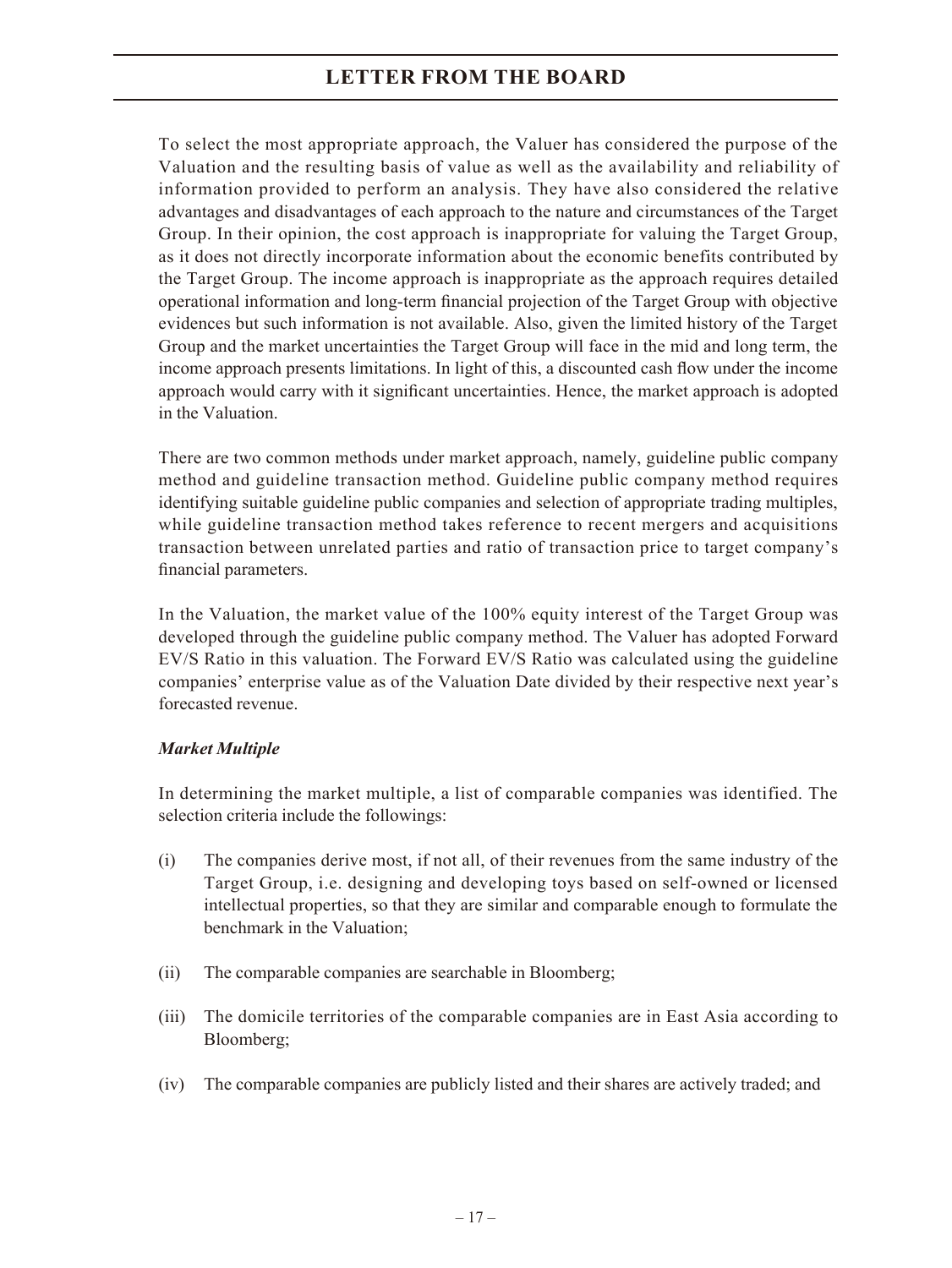To select the most appropriate approach, the Valuer has considered the purpose of the Valuation and the resulting basis of value as well as the availability and reliability of information provided to perform an analysis. They have also considered the relative advantages and disadvantages of each approach to the nature and circumstances of the Target Group. In their opinion, the cost approach is inappropriate for valuing the Target Group, as it does not directly incorporate information about the economic benefits contributed by the Target Group. The income approach is inappropriate as the approach requires detailed operational information and long-term financial projection of the Target Group with objective evidences but such information is not available. Also, given the limited history of the Target Group and the market uncertainties the Target Group will face in the mid and long term, the income approach presents limitations. In light of this, a discounted cash flow under the income approach would carry with it significant uncertainties. Hence, the market approach is adopted in the Valuation.

There are two common methods under market approach, namely, guideline public company method and guideline transaction method. Guideline public company method requires identifying suitable guideline public companies and selection of appropriate trading multiples, while guideline transaction method takes reference to recent mergers and acquisitions transaction between unrelated parties and ratio of transaction price to target company's financial parameters.

In the Valuation, the market value of the 100% equity interest of the Target Group was developed through the guideline public company method. The Valuer has adopted Forward EV/S Ratio in this valuation. The Forward EV/S Ratio was calculated using the guideline companies' enterprise value as of the Valuation Date divided by their respective next year's forecasted revenue.

### *Market Multiple*

In determining the market multiple, a list of comparable companies was identified. The selection criteria include the followings:

- (i) The companies derive most, if not all, of their revenues from the same industry of the Target Group, i.e. designing and developing toys based on self-owned or licensed intellectual properties, so that they are similar and comparable enough to formulate the benchmark in the Valuation;
- (ii) The comparable companies are searchable in Bloomberg;
- (iii) The domicile territories of the comparable companies are in East Asia according to Bloomberg;
- (iv) The comparable companies are publicly listed and their shares are actively traded; and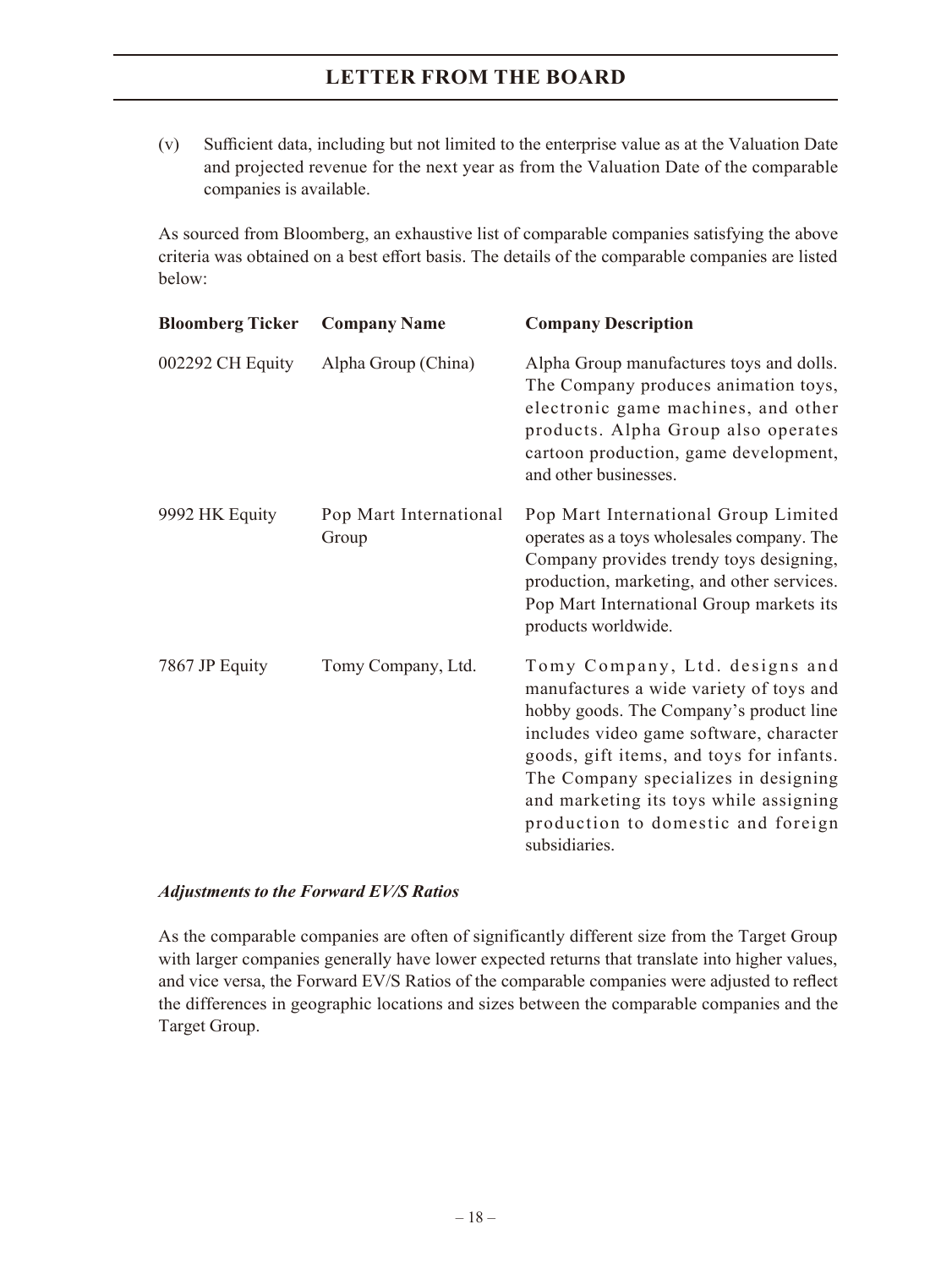(v) Sufficient data, including but not limited to the enterprise value as at the Valuation Date and projected revenue for the next year as from the Valuation Date of the comparable companies is available.

As sourced from Bloomberg, an exhaustive list of comparable companies satisfying the above criteria was obtained on a best effort basis. The details of the comparable companies are listed below:

| <b>Bloomberg Ticker</b> | <b>Company Name</b>             | <b>Company Description</b>                                                                                                                                                                                                                                                                                                                           |
|-------------------------|---------------------------------|------------------------------------------------------------------------------------------------------------------------------------------------------------------------------------------------------------------------------------------------------------------------------------------------------------------------------------------------------|
| 002292 CH Equity        | Alpha Group (China)             | Alpha Group manufactures toys and dolls.<br>The Company produces animation toys,<br>electronic game machines, and other<br>products. Alpha Group also operates<br>cartoon production, game development,<br>and other businesses.                                                                                                                     |
| 9992 HK Equity          | Pop Mart International<br>Group | Pop Mart International Group Limited<br>operates as a toys wholesales company. The<br>Company provides trendy toys designing,<br>production, marketing, and other services.<br>Pop Mart International Group markets its<br>products worldwide.                                                                                                       |
| 7867 JP Equity          | Tomy Company, Ltd.              | Tomy Company, Ltd. designs and<br>manufactures a wide variety of toys and<br>hobby goods. The Company's product line<br>includes video game software, character<br>goods, gift items, and toys for infants.<br>The Company specializes in designing<br>and marketing its toys while assigning<br>production to domestic and foreign<br>subsidiaries. |

#### *Adjustments to the Forward EV/S Ratios*

As the comparable companies are often of significantly different size from the Target Group with larger companies generally have lower expected returns that translate into higher values, and vice versa, the Forward EV/S Ratios of the comparable companies were adjusted to reflect the differences in geographic locations and sizes between the comparable companies and the Target Group.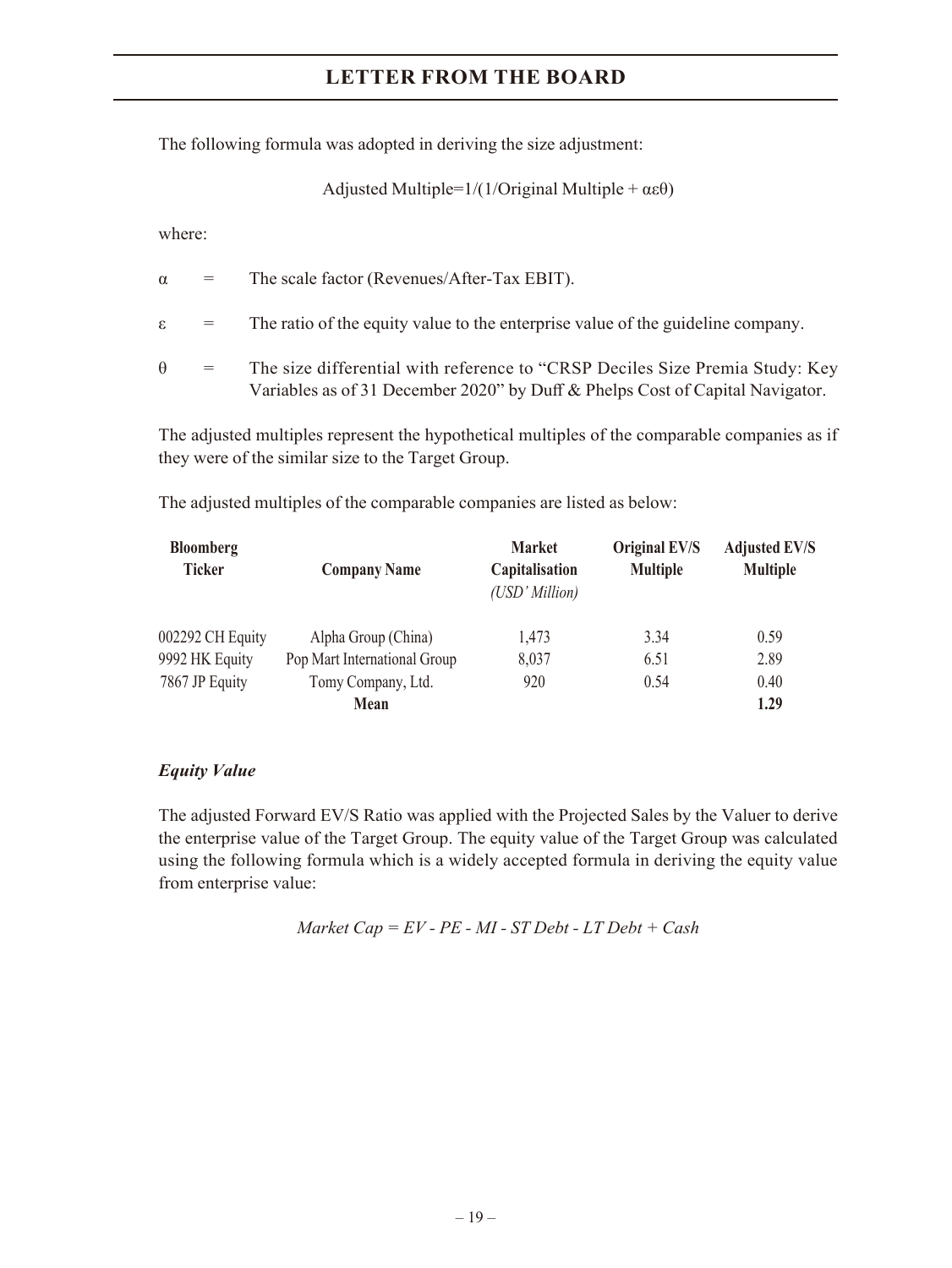The following formula was adopted in deriving the size adjustment:

Adjusted Multiple= $1/(1/O$ riginal Multiple +  $\alpha \epsilon \theta$ )

where:

|            | $\alpha =$      | The scale factor (Revenues/After-Tax EBIT).                                                                                                                   |
|------------|-----------------|---------------------------------------------------------------------------------------------------------------------------------------------------------------|
|            | $\varepsilon =$ | The ratio of the equity value to the enterprise value of the guideline company.                                                                               |
| $\theta =$ |                 | The size differential with reference to "CRSP Deciles Size Premia Study: Key<br>Variables as of 31 December 2020" by Duff & Phelps Cost of Capital Navigator. |

The adjusted multiples represent the hypothetical multiples of the comparable companies as if they were of the similar size to the Target Group.

The adjusted multiples of the comparable companies are listed as below:

| <b>Bloomberg</b> |                              | <b>Market</b>                    | Original EV/S   | <b>Adjusted EV/S</b> |  |
|------------------|------------------------------|----------------------------------|-----------------|----------------------|--|
| <b>Ticker</b>    | <b>Company Name</b>          | Capitalisation<br>(USD' Million) | <b>Multiple</b> | <b>Multiple</b>      |  |
| 002292 CH Equity | Alpha Group (China)          | 1,473                            | 3.34            | 0.59                 |  |
| 9992 HK Equity   | Pop Mart International Group | 8,037                            | 6.51            | 2.89                 |  |
| 7867 JP Equity   | Tomy Company, Ltd.           | 920                              | 0.54            | 0.40                 |  |
|                  | Mean                         |                                  |                 | 1.29                 |  |

### *Equity Value*

The adjusted Forward EV/S Ratio was applied with the Projected Sales by the Valuer to derive the enterprise value of the Target Group. The equity value of the Target Group was calculated using the following formula which is a widely accepted formula in deriving the equity value from enterprise value:

*Market Cap = EV - PE - MI - ST Debt - LT Debt + Cash*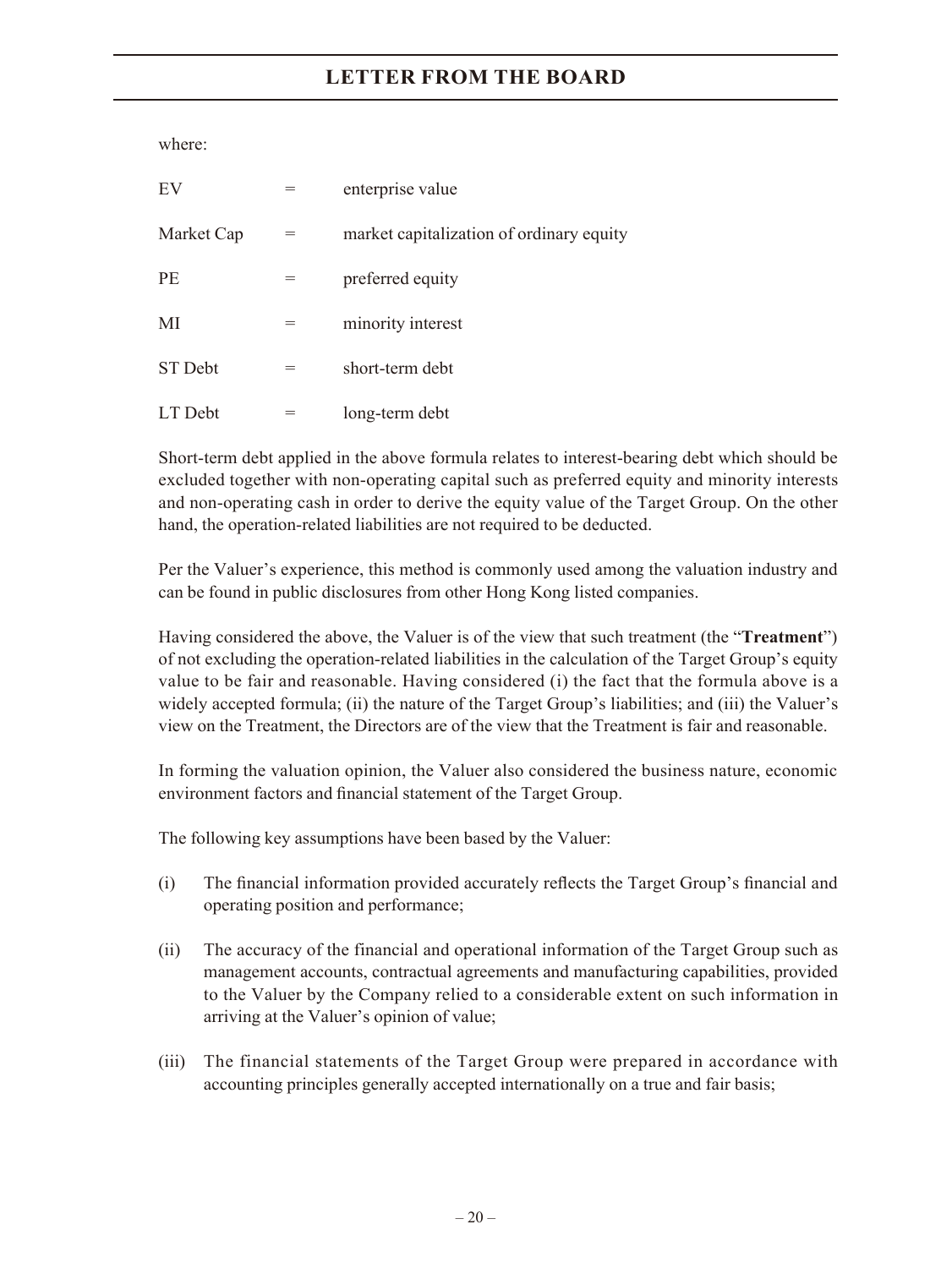where:

| EV         | enterprise value                         |
|------------|------------------------------------------|
| Market Cap | market capitalization of ordinary equity |
| <b>PE</b>  | preferred equity                         |
| MI         | minority interest                        |
| ST Debt    | short-term debt                          |
| LT Debt    | long-term debt                           |

Short-term debt applied in the above formula relates to interest-bearing debt which should be excluded together with non-operating capital such as preferred equity and minority interests and non-operating cash in order to derive the equity value of the Target Group. On the other hand, the operation-related liabilities are not required to be deducted.

Per the Valuer's experience, this method is commonly used among the valuation industry and can be found in public disclosures from other Hong Kong listed companies.

Having considered the above, the Valuer is of the view that such treatment (the "**Treatment**") of not excluding the operation-related liabilities in the calculation of the Target Group's equity value to be fair and reasonable. Having considered (i) the fact that the formula above is a widely accepted formula; (ii) the nature of the Target Group's liabilities; and (iii) the Valuer's view on the Treatment, the Directors are of the view that the Treatment is fair and reasonable.

In forming the valuation opinion, the Valuer also considered the business nature, economic environment factors and financial statement of the Target Group.

The following key assumptions have been based by the Valuer:

- (i) The financial information provided accurately reflects the Target Group's financial and operating position and performance;
- (ii) The accuracy of the financial and operational information of the Target Group such as management accounts, contractual agreements and manufacturing capabilities, provided to the Valuer by the Company relied to a considerable extent on such information in arriving at the Valuer's opinion of value;
- (iii) The financial statements of the Target Group were prepared in accordance with accounting principles generally accepted internationally on a true and fair basis;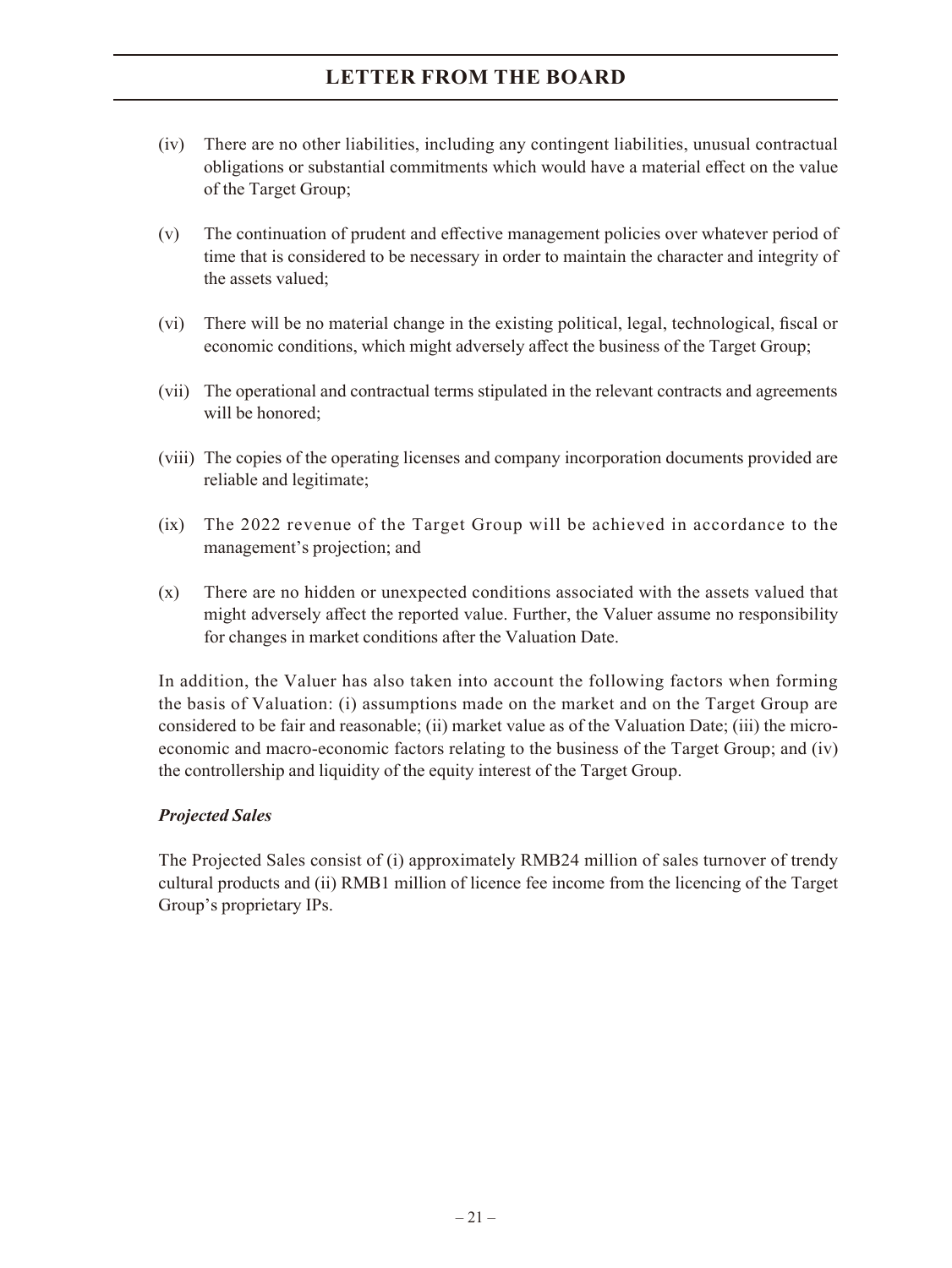- (iv) There are no other liabilities, including any contingent liabilities, unusual contractual obligations or substantial commitments which would have a material effect on the value of the Target Group;
- (v) The continuation of prudent and effective management policies over whatever period of time that is considered to be necessary in order to maintain the character and integrity of the assets valued;
- (vi) There will be no material change in the existing political, legal, technological, fiscal or economic conditions, which might adversely affect the business of the Target Group;
- (vii) The operational and contractual terms stipulated in the relevant contracts and agreements will be honored;
- (viii) The copies of the operating licenses and company incorporation documents provided are reliable and legitimate;
- (ix) The 2022 revenue of the Target Group will be achieved in accordance to the management's projection; and
- (x) There are no hidden or unexpected conditions associated with the assets valued that might adversely affect the reported value. Further, the Valuer assume no responsibility for changes in market conditions after the Valuation Date.

In addition, the Valuer has also taken into account the following factors when forming the basis of Valuation: (i) assumptions made on the market and on the Target Group are considered to be fair and reasonable; (ii) market value as of the Valuation Date; (iii) the microeconomic and macro-economic factors relating to the business of the Target Group; and (iv) the controllership and liquidity of the equity interest of the Target Group.

### *Projected Sales*

The Projected Sales consist of (i) approximately RMB24 million of sales turnover of trendy cultural products and (ii) RMB1 million of licence fee income from the licencing of the Target Group's proprietary IPs.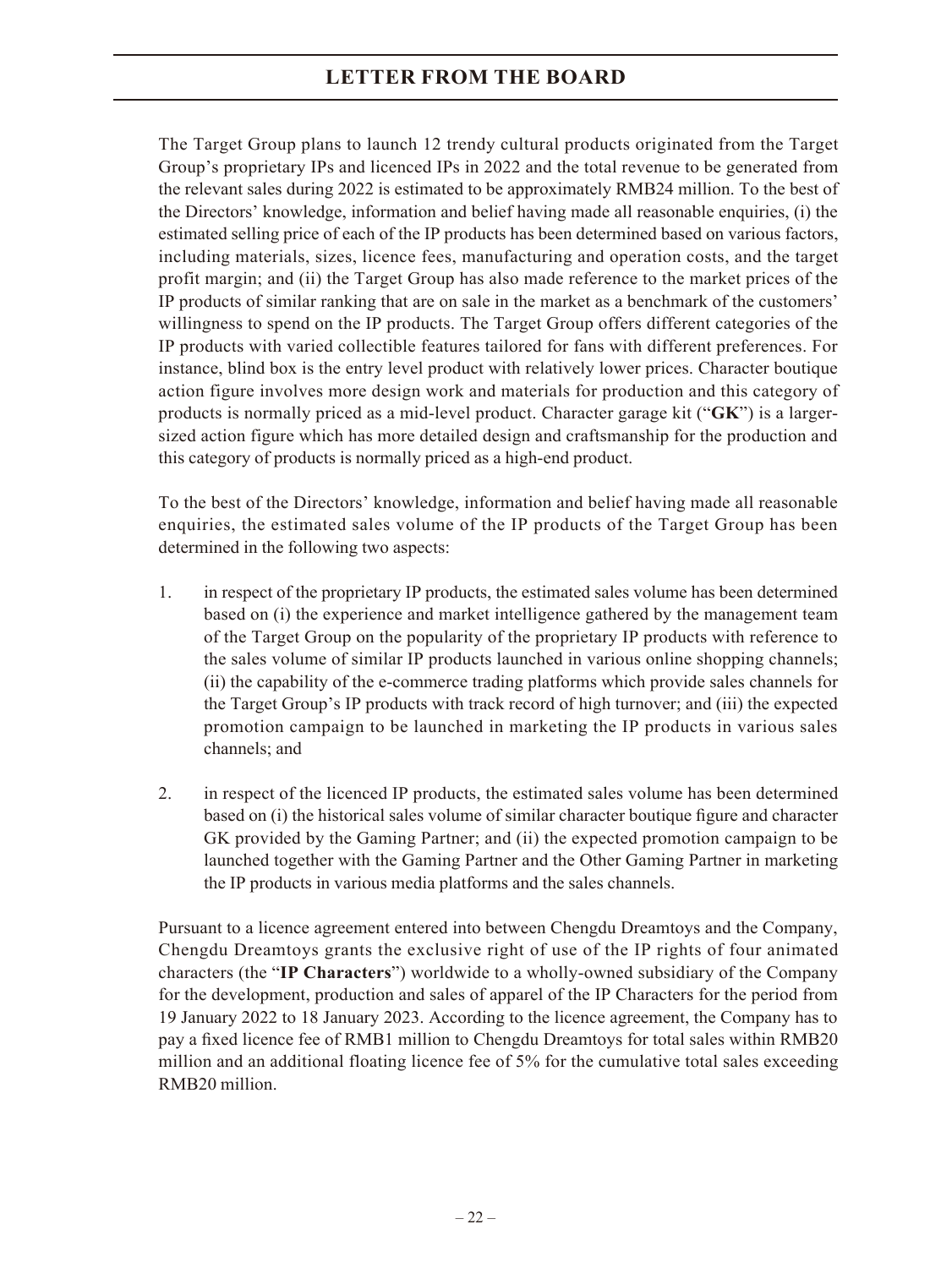The Target Group plans to launch 12 trendy cultural products originated from the Target Group's proprietary IPs and licenced IPs in 2022 and the total revenue to be generated from the relevant sales during 2022 is estimated to be approximately RMB24 million. To the best of the Directors' knowledge, information and belief having made all reasonable enquiries, (i) the estimated selling price of each of the IP products has been determined based on various factors, including materials, sizes, licence fees, manufacturing and operation costs, and the target profit margin; and (ii) the Target Group has also made reference to the market prices of the IP products of similar ranking that are on sale in the market as a benchmark of the customers' willingness to spend on the IP products. The Target Group offers different categories of the IP products with varied collectible features tailored for fans with different preferences. For instance, blind box is the entry level product with relatively lower prices. Character boutique action figure involves more design work and materials for production and this category of products is normally priced as a mid-level product. Character garage kit ("**GK**") is a largersized action figure which has more detailed design and craftsmanship for the production and this category of products is normally priced as a high-end product.

To the best of the Directors' knowledge, information and belief having made all reasonable enquiries, the estimated sales volume of the IP products of the Target Group has been determined in the following two aspects:

- 1. in respect of the proprietary IP products, the estimated sales volume has been determined based on (i) the experience and market intelligence gathered by the management team of the Target Group on the popularity of the proprietary IP products with reference to the sales volume of similar IP products launched in various online shopping channels; (ii) the capability of the e-commerce trading platforms which provide sales channels for the Target Group's IP products with track record of high turnover; and (iii) the expected promotion campaign to be launched in marketing the IP products in various sales channels; and
- 2. in respect of the licenced IP products, the estimated sales volume has been determined based on (i) the historical sales volume of similar character boutique figure and character GK provided by the Gaming Partner; and (ii) the expected promotion campaign to be launched together with the Gaming Partner and the Other Gaming Partner in marketing the IP products in various media platforms and the sales channels.

Pursuant to a licence agreement entered into between Chengdu Dreamtoys and the Company, Chengdu Dreamtoys grants the exclusive right of use of the IP rights of four animated characters (the "**IP Characters**") worldwide to a wholly-owned subsidiary of the Company for the development, production and sales of apparel of the IP Characters for the period from 19 January 2022 to 18 January 2023. According to the licence agreement, the Company has to pay a fixed licence fee of RMB1 million to Chengdu Dreamtoys for total sales within RMB20 million and an additional floating licence fee of 5% for the cumulative total sales exceeding RMB20 million.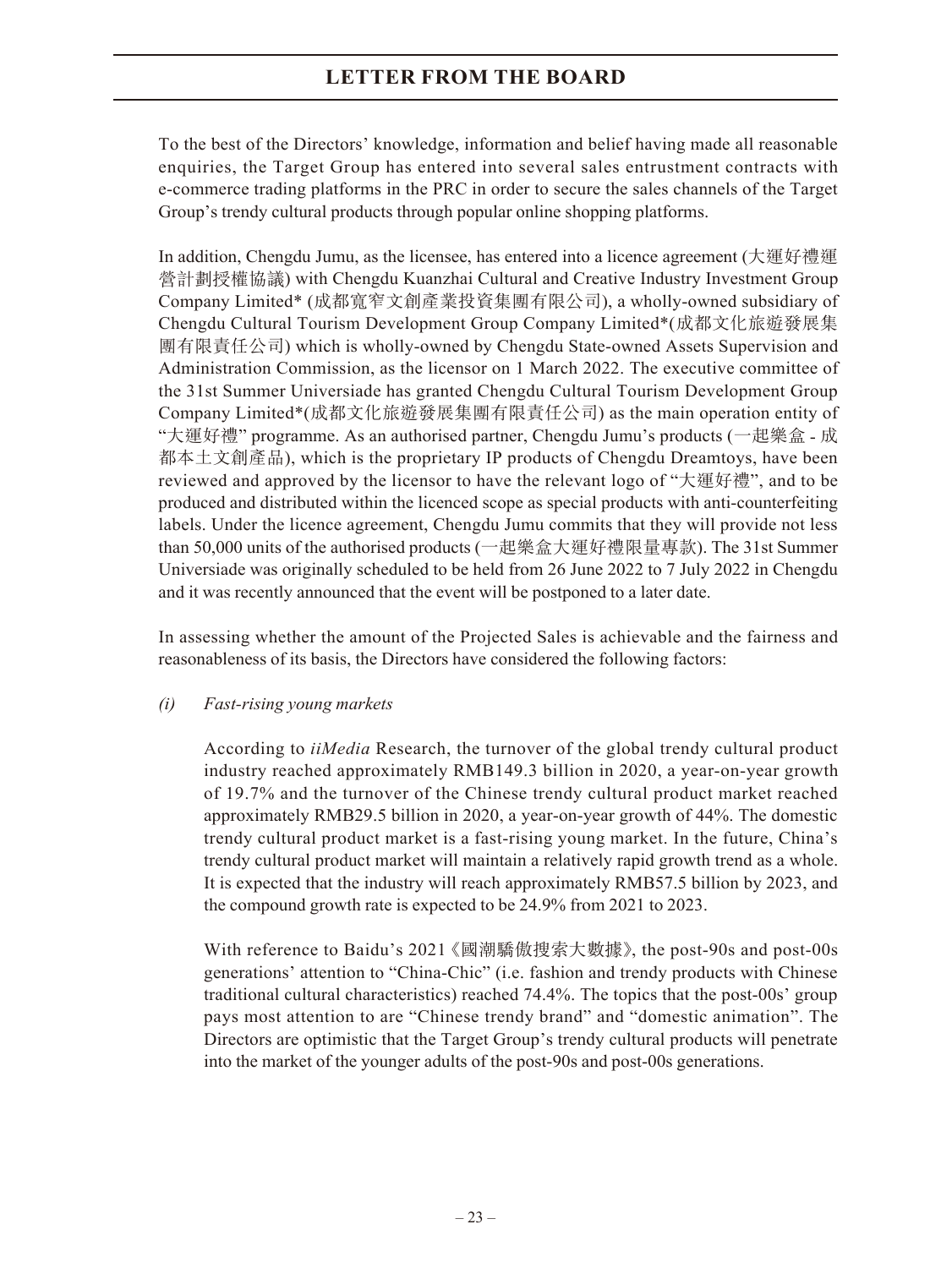To the best of the Directors' knowledge, information and belief having made all reasonable enquiries, the Target Group has entered into several sales entrustment contracts with e-commerce trading platforms in the PRC in order to secure the sales channels of the Target Group's trendy cultural products through popular online shopping platforms.

In addition, Chengdu Jumu, as the licensee, has entered into a licence agreement (大運好禮運 營計劃授權協議) with Chengdu Kuanzhai Cultural and Creative Industry Investment Group Company Limited\* (成都寬窄文創產業投資集團有限公司), a wholly-owned subsidiary of Chengdu Cultural Tourism Development Group Company Limited\*(成都文化旅遊發展集 團有限責任公司) which is wholly-owned by Chengdu State-owned Assets Supervision and Administration Commission, as the licensor on 1 March 2022. The executive committee of the 31st Summer Universiade has granted Chengdu Cultural Tourism Development Group Company Limited\*(成都文化旅遊發展集團有限責任公司) as the main operation entity of "大運好禮" programme. As an authorised partner, Chengdu Jumu's products (一起樂盒 - 成 都本土文創產品), which is the proprietary IP products of Chengdu Dreamtoys, have been reviewed and approved by the licensor to have the relevant logo of "大運好禮", and to be produced and distributed within the licenced scope as special products with anti-counterfeiting labels. Under the licence agreement, Chengdu Jumu commits that they will provide not less than 50,000 units of the authorised products (一起樂盒大運好禮限量專款). The 31st Summer Universiade was originally scheduled to be held from 26 June 2022 to 7 July 2022 in Chengdu and it was recently announced that the event will be postponed to a later date.

In assessing whether the amount of the Projected Sales is achievable and the fairness and reasonableness of its basis, the Directors have considered the following factors:

### *(i) Fast-rising young markets*

According to *iiMedia* Research, the turnover of the global trendy cultural product industry reached approximately RMB149.3 billion in 2020, a year-on-year growth of 19.7% and the turnover of the Chinese trendy cultural product market reached approximately RMB29.5 billion in 2020, a year-on-year growth of 44%. The domestic trendy cultural product market is a fast-rising young market. In the future, China's trendy cultural product market will maintain a relatively rapid growth trend as a whole. It is expected that the industry will reach approximately RMB57.5 billion by 2023, and the compound growth rate is expected to be 24.9% from 2021 to 2023.

With reference to Baidu's 2021 《國潮驕傲搜索大數據》, the post-90s and post-00s generations' attention to "China-Chic" (i.e. fashion and trendy products with Chinese traditional cultural characteristics) reached 74.4%. The topics that the post-00s' group pays most attention to are "Chinese trendy brand" and "domestic animation". The Directors are optimistic that the Target Group's trendy cultural products will penetrate into the market of the younger adults of the post-90s and post-00s generations.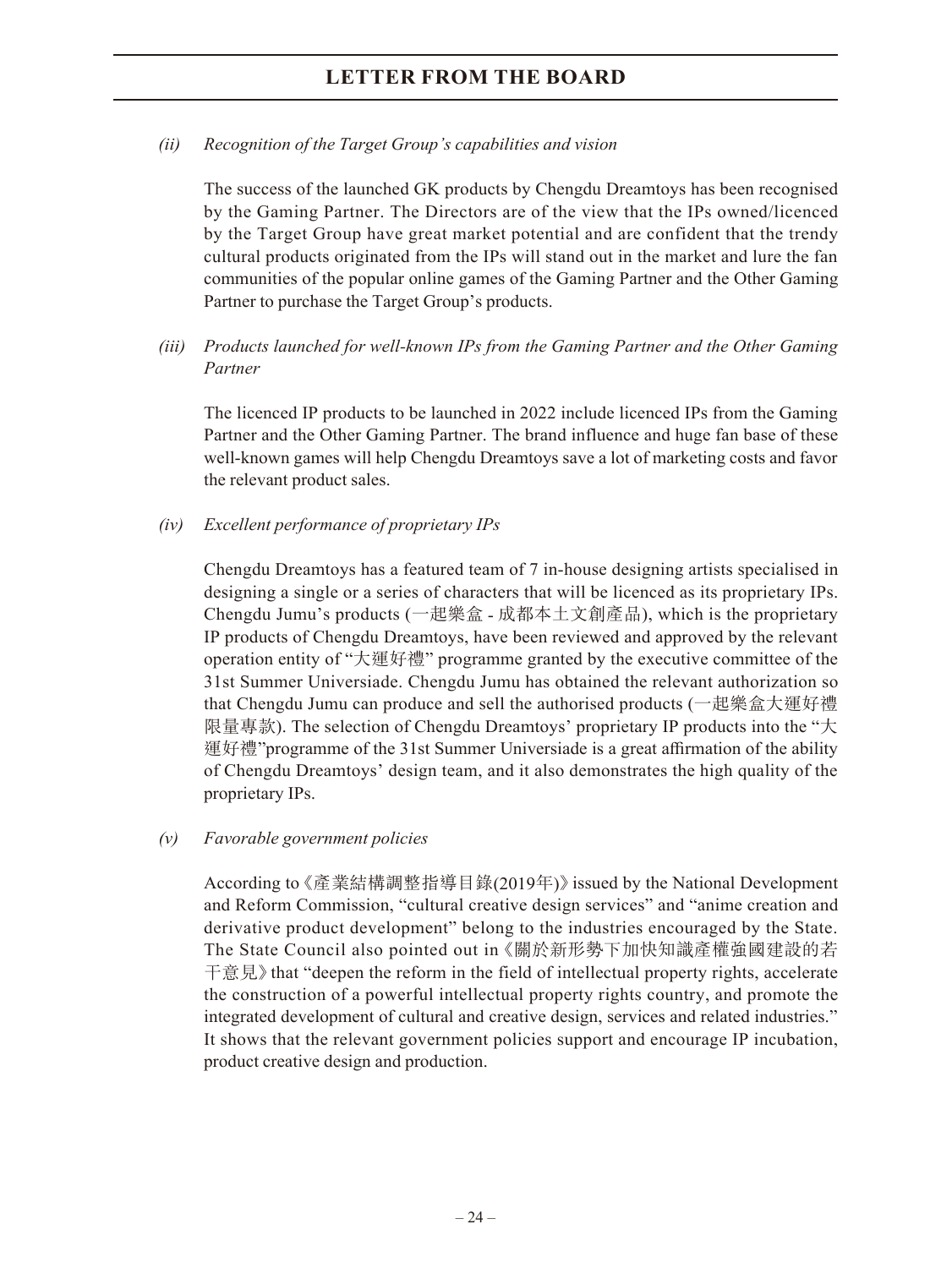### *(ii) Recognition of the Target Group's capabilities and vision*

The success of the launched GK products by Chengdu Dreamtoys has been recognised by the Gaming Partner. The Directors are of the view that the IPs owned/licenced by the Target Group have great market potential and are confident that the trendy cultural products originated from the IPs will stand out in the market and lure the fan communities of the popular online games of the Gaming Partner and the Other Gaming Partner to purchase the Target Group's products.

*(iii) Products launched for well-known IPs from the Gaming Partner and the Other Gaming Partner*

The licenced IP products to be launched in 2022 include licenced IPs from the Gaming Partner and the Other Gaming Partner. The brand influence and huge fan base of these well-known games will help Chengdu Dreamtoys save a lot of marketing costs and favor the relevant product sales.

### *(iv) Excellent performance of proprietary IPs*

Chengdu Dreamtoys has a featured team of 7 in-house designing artists specialised in designing a single or a series of characters that will be licenced as its proprietary IPs. Chengdu Jumu's products (一起樂盒 - 成都本土文創產品), which is the proprietary IP products of Chengdu Dreamtoys, have been reviewed and approved by the relevant operation entity of "大運好禮" programme granted by the executive committee of the 31st Summer Universiade. Chengdu Jumu has obtained the relevant authorization so that Chengdu Jumu can produce and sell the authorised products (一起樂盒大運好禮 限量專款). The selection of Chengdu Dreamtoys' proprietary IP products into the "大 運好禮"programme of the 31st Summer Universiade is a great affirmation of the ability of Chengdu Dreamtoys' design team, and it also demonstrates the high quality of the proprietary IPs.

### *(v) Favorable government policies*

According to 《產業結構調整指導目錄(2019年)》issued by the National Development and Reform Commission, "cultural creative design services" and "anime creation and derivative product development" belong to the industries encouraged by the State. The State Council also pointed out in 《關於新形勢下加快知識產權強國建設的若 干意見》 that "deepen the reform in the field of intellectual property rights, accelerate the construction of a powerful intellectual property rights country, and promote the integrated development of cultural and creative design, services and related industries." It shows that the relevant government policies support and encourage IP incubation, product creative design and production.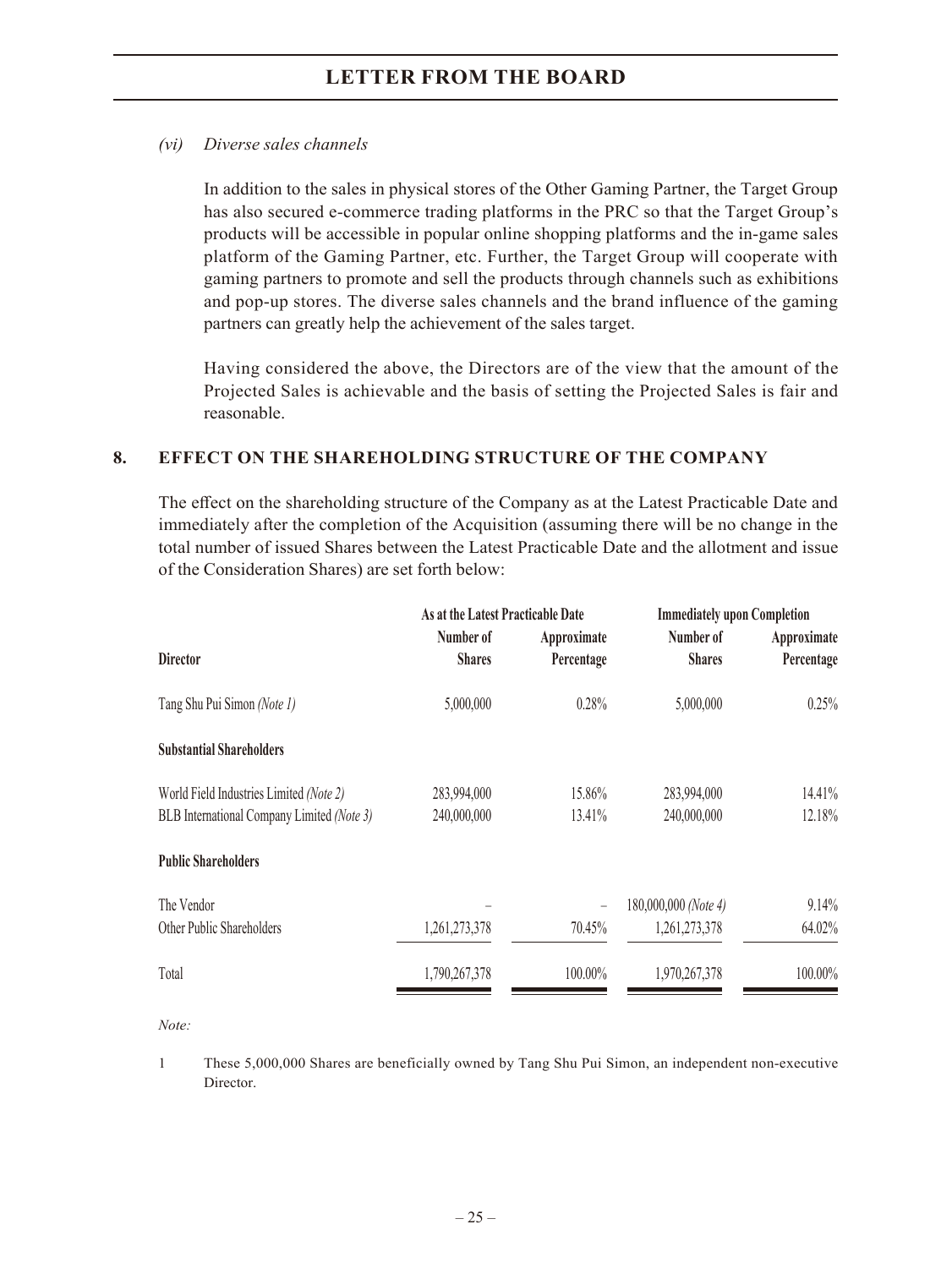#### *(vi) Diverse sales channels*

In addition to the sales in physical stores of the Other Gaming Partner, the Target Group has also secured e-commerce trading platforms in the PRC so that the Target Group's products will be accessible in popular online shopping platforms and the in-game sales platform of the Gaming Partner, etc. Further, the Target Group will cooperate with gaming partners to promote and sell the products through channels such as exhibitions and pop-up stores. The diverse sales channels and the brand influence of the gaming partners can greatly help the achievement of the sales target.

Having considered the above, the Directors are of the view that the amount of the Projected Sales is achievable and the basis of setting the Projected Sales is fair and reasonable.

### **8. EFFECT ON THE SHAREHOLDING STRUCTURE OF THE COMPANY**

The effect on the shareholding structure of the Company as at the Latest Practicable Date and immediately after the completion of the Acquisition (assuming there will be no change in the total number of issued Shares between the Latest Practicable Date and the allotment and issue of the Consideration Shares) are set forth below:

|                                            | As at the Latest Practicable Date |                           | <b>Immediately upon Completion</b> |                           |  |
|--------------------------------------------|-----------------------------------|---------------------------|------------------------------------|---------------------------|--|
| <b>Director</b>                            | Number of<br><b>Shares</b>        | Approximate<br>Percentage | Number of<br><b>Shares</b>         | Approximate<br>Percentage |  |
|                                            |                                   |                           |                                    |                           |  |
| Tang Shu Pui Simon (Note 1)                | 5,000,000                         | 0.28%                     | 5,000,000                          | 0.25%                     |  |
| <b>Substantial Shareholders</b>            |                                   |                           |                                    |                           |  |
| World Field Industries Limited (Note 2)    | 283,994,000                       | 15.86%                    | 283,994,000                        | 14.41%                    |  |
| BLB International Company Limited (Note 3) | 240,000,000                       | 13.41%                    | 240,000,000                        | 12.18%                    |  |
| <b>Public Shareholders</b>                 |                                   |                           |                                    |                           |  |
| The Vendor                                 |                                   |                           | 180,000,000 (Note 4)               | 9.14%                     |  |
| Other Public Shareholders                  | 1,261,273,378                     | 70.45%                    | 1,261,273,378                      | 64.02%                    |  |
| Total                                      | 1,790,267,378                     | 100.00%                   | 1,970,267,378                      | 100.00%                   |  |

*Note:*

1 These 5,000,000 Shares are beneficially owned by Tang Shu Pui Simon, an independent non-executive Director.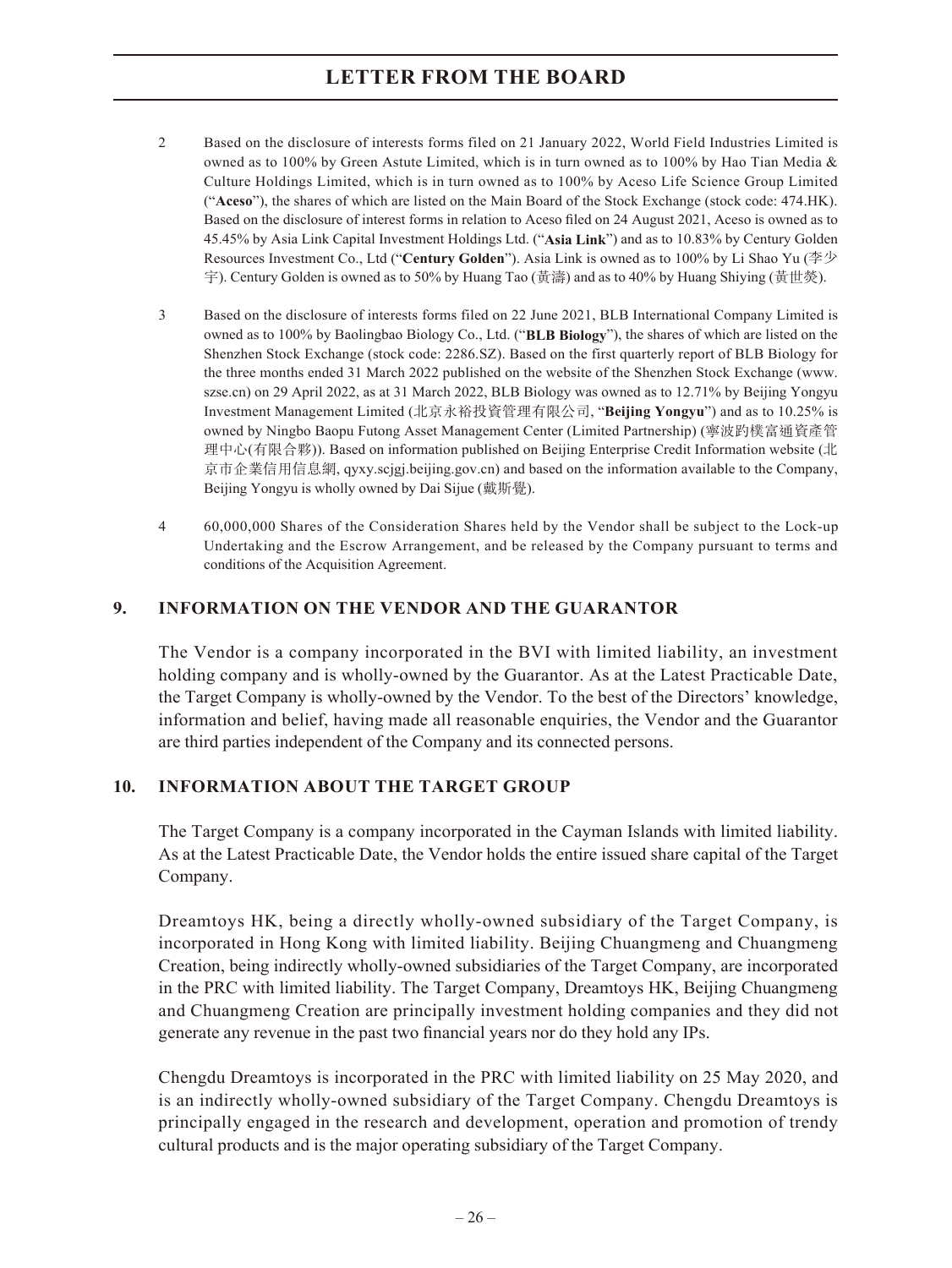- 2 Based on the disclosure of interests forms filed on 21 January 2022, World Field Industries Limited is owned as to 100% by Green Astute Limited, which is in turn owned as to 100% by Hao Tian Media & Culture Holdings Limited, which is in turn owned as to 100% by Aceso Life Science Group Limited ("**Aceso**"), the shares of which are listed on the Main Board of the Stock Exchange (stock code: 474.HK). Based on the disclosure of interest forms in relation to Aceso filed on 24 August 2021, Aceso is owned as to 45.45% by Asia Link Capital Investment Holdings Ltd. ("**Asia Link**") and as to 10.83% by Century Golden Resources Investment Co., Ltd ("**Century Golden**"). Asia Link is owned as to 100% by Li Shao Yu (李少 宇). Century Golden is owned as to 50% by Huang Tao (黃濤) and as to 40% by Huang Shiying (黃世熒).
- 3 Based on the disclosure of interests forms filed on 22 June 2021, BLB International Company Limited is owned as to 100% by Baolingbao Biology Co., Ltd. ("**BLB Biology**"), the shares of which are listed on the Shenzhen Stock Exchange (stock code: 2286.SZ). Based on the first quarterly report of BLB Biology for the three months ended 31 March 2022 published on the website of the Shenzhen Stock Exchange (www. szse.cn) on 29 April 2022, as at 31 March 2022, BLB Biology was owned as to 12.71% by Beijing Yongyu Investment Management Limited (北京永裕投資管理有限公司, "**Beijing Yongyu**") and as to 10.25% is owned by Ningbo Baopu Futong Asset Management Center (Limited Partnership) (寧波趵樸富通資產管 理中心(有限合夥)). Based on information published on Beijing Enterprise Credit Information website (北 京市企業信用信息網, qyxy.scjgj.beijing.gov.cn) and based on the information available to the Company, Beijing Yongyu is wholly owned by Dai Sijue (戴斯覺).
- 4 60,000,000 Shares of the Consideration Shares held by the Vendor shall be subject to the Lock-up Undertaking and the Escrow Arrangement, and be released by the Company pursuant to terms and conditions of the Acquisition Agreement.

#### **9. INFORMATION ON THE VENDOR AND THE GUARANTOR**

The Vendor is a company incorporated in the BVI with limited liability, an investment holding company and is wholly-owned by the Guarantor. As at the Latest Practicable Date, the Target Company is wholly-owned by the Vendor. To the best of the Directors' knowledge, information and belief, having made all reasonable enquiries, the Vendor and the Guarantor are third parties independent of the Company and its connected persons.

#### **10. INFORMATION ABOUT THE TARGET GROUP**

The Target Company is a company incorporated in the Cayman Islands with limited liability. As at the Latest Practicable Date, the Vendor holds the entire issued share capital of the Target Company.

Dreamtoys HK, being a directly wholly-owned subsidiary of the Target Company, is incorporated in Hong Kong with limited liability. Beijing Chuangmeng and Chuangmeng Creation, being indirectly wholly-owned subsidiaries of the Target Company, are incorporated in the PRC with limited liability. The Target Company, Dreamtoys HK, Beijing Chuangmeng and Chuangmeng Creation are principally investment holding companies and they did not generate any revenue in the past two financial years nor do they hold any IPs.

Chengdu Dreamtoys is incorporated in the PRC with limited liability on 25 May 2020, and is an indirectly wholly-owned subsidiary of the Target Company. Chengdu Dreamtoys is principally engaged in the research and development, operation and promotion of trendy cultural products and is the major operating subsidiary of the Target Company.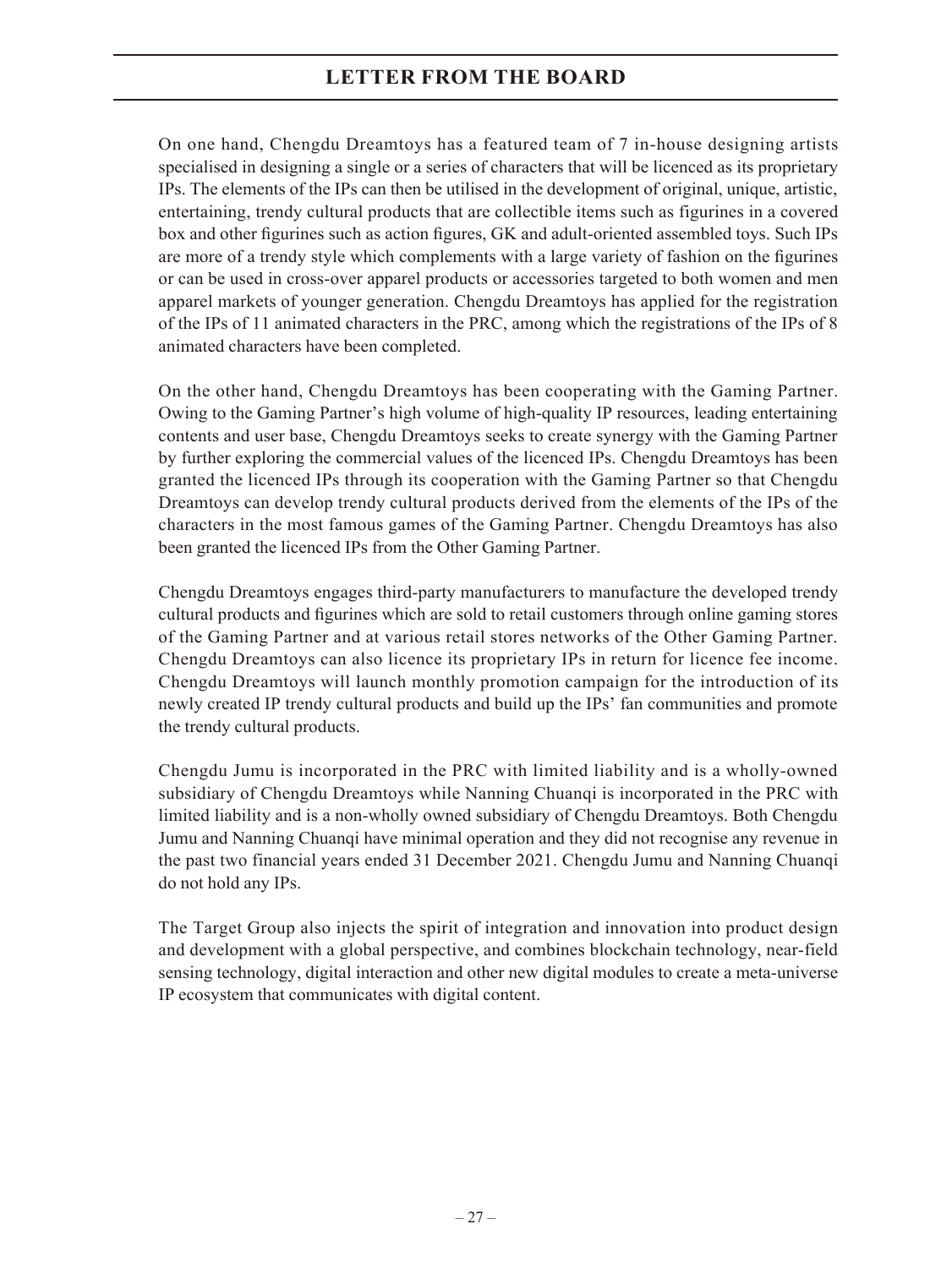On one hand, Chengdu Dreamtoys has a featured team of 7 in-house designing artists specialised in designing a single or a series of characters that will be licenced as its proprietary IPs. The elements of the IPs can then be utilised in the development of original, unique, artistic, entertaining, trendy cultural products that are collectible items such as figurines in a covered box and other figurines such as action figures, GK and adult-oriented assembled toys. Such IPs are more of a trendy style which complements with a large variety of fashion on the figurines or can be used in cross-over apparel products or accessories targeted to both women and men apparel markets of younger generation. Chengdu Dreamtoys has applied for the registration of the IPs of 11 animated characters in the PRC, among which the registrations of the IPs of 8 animated characters have been completed.

On the other hand, Chengdu Dreamtoys has been cooperating with the Gaming Partner. Owing to the Gaming Partner's high volume of high-quality IP resources, leading entertaining contents and user base, Chengdu Dreamtoys seeks to create synergy with the Gaming Partner by further exploring the commercial values of the licenced IPs. Chengdu Dreamtoys has been granted the licenced IPs through its cooperation with the Gaming Partner so that Chengdu Dreamtoys can develop trendy cultural products derived from the elements of the IPs of the characters in the most famous games of the Gaming Partner. Chengdu Dreamtoys has also been granted the licenced IPs from the Other Gaming Partner.

Chengdu Dreamtoys engages third-party manufacturers to manufacture the developed trendy cultural products and figurines which are sold to retail customers through online gaming stores of the Gaming Partner and at various retail stores networks of the Other Gaming Partner. Chengdu Dreamtoys can also licence its proprietary IPs in return for licence fee income. Chengdu Dreamtoys will launch monthly promotion campaign for the introduction of its newly created IP trendy cultural products and build up the IPs' fan communities and promote the trendy cultural products.

Chengdu Jumu is incorporated in the PRC with limited liability and is a wholly-owned subsidiary of Chengdu Dreamtoys while Nanning Chuanqi is incorporated in the PRC with limited liability and is a non-wholly owned subsidiary of Chengdu Dreamtoys. Both Chengdu Jumu and Nanning Chuanqi have minimal operation and they did not recognise any revenue in the past two financial years ended 31 December 2021. Chengdu Jumu and Nanning Chuanqi do not hold any IPs.

The Target Group also injects the spirit of integration and innovation into product design and development with a global perspective, and combines blockchain technology, near-field sensing technology, digital interaction and other new digital modules to create a meta-universe IP ecosystem that communicates with digital content.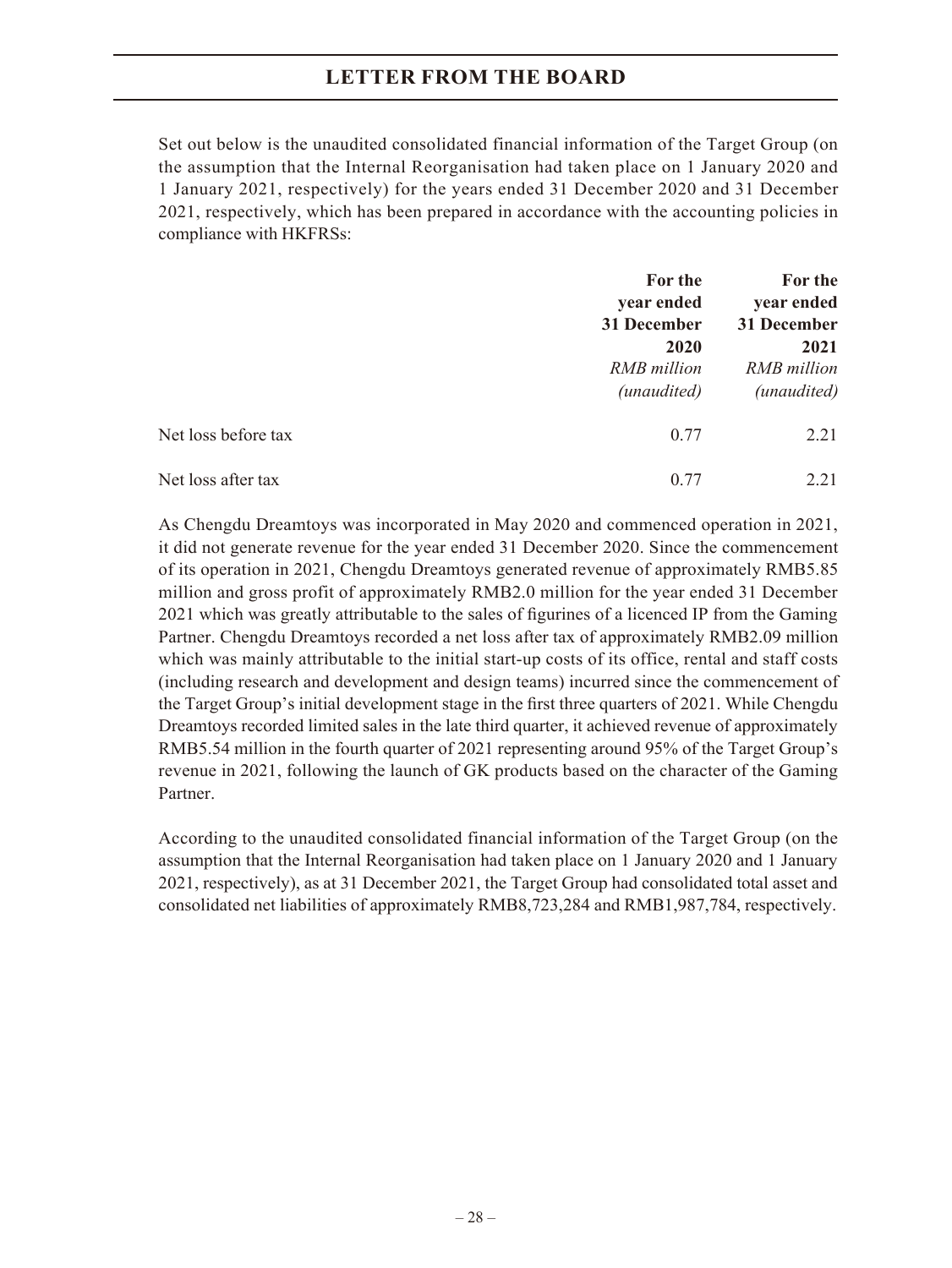Set out below is the unaudited consolidated financial information of the Target Group (on the assumption that the Internal Reorganisation had taken place on 1 January 2020 and 1 January 2021, respectively) for the years ended 31 December 2020 and 31 December 2021, respectively, which has been prepared in accordance with the accounting policies in compliance with HKFRSs:

|                     | For the<br>year ended                                             | For the<br>year ended<br>31 December<br>2021<br>RMB million<br>(unaudited) |
|---------------------|-------------------------------------------------------------------|----------------------------------------------------------------------------|
|                     | 31 December<br>2020<br><b>RMB</b> million<br>( <i>unaudited</i> ) |                                                                            |
| Net loss before tax | 0.77                                                              | 2.21                                                                       |
| Net loss after tax  | 0.77                                                              | 2.21                                                                       |

As Chengdu Dreamtoys was incorporated in May 2020 and commenced operation in 2021, it did not generate revenue for the year ended 31 December 2020. Since the commencement of its operation in 2021, Chengdu Dreamtoys generated revenue of approximately RMB5.85 million and gross profit of approximately RMB2.0 million for the year ended 31 December 2021 which was greatly attributable to the sales of figurines of a licenced IP from the Gaming Partner. Chengdu Dreamtoys recorded a net loss after tax of approximately RMB2.09 million which was mainly attributable to the initial start-up costs of its office, rental and staff costs (including research and development and design teams) incurred since the commencement of the Target Group's initial development stage in the first three quarters of 2021. While Chengdu Dreamtoys recorded limited sales in the late third quarter, it achieved revenue of approximately RMB5.54 million in the fourth quarter of 2021 representing around 95% of the Target Group's revenue in 2021, following the launch of GK products based on the character of the Gaming Partner.

According to the unaudited consolidated financial information of the Target Group (on the assumption that the Internal Reorganisation had taken place on 1 January 2020 and 1 January 2021, respectively), as at 31 December 2021, the Target Group had consolidated total asset and consolidated net liabilities of approximately RMB8,723,284 and RMB1,987,784, respectively.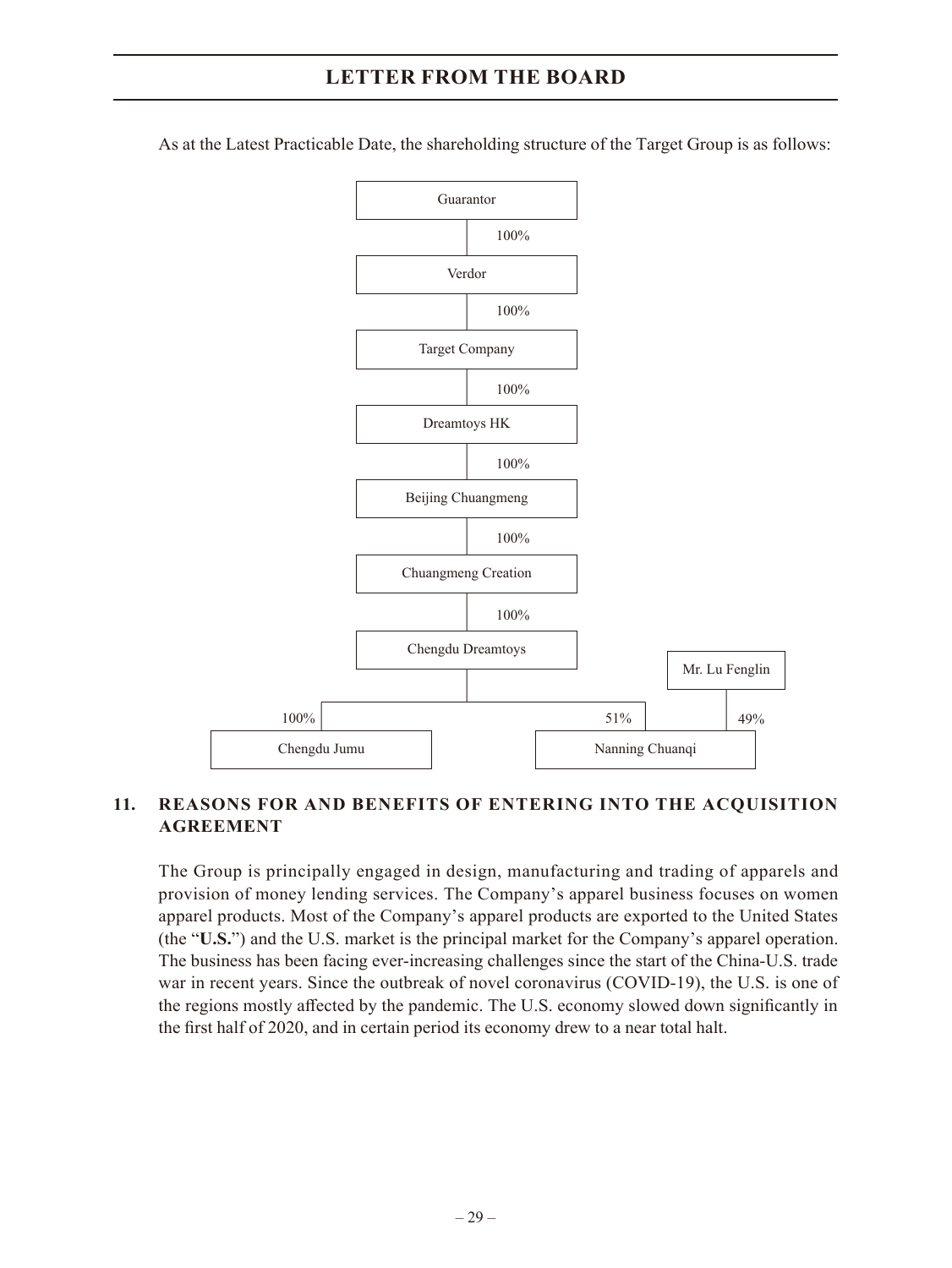As at the Latest Practicable Date, the shareholding structure of the Target Group is as follows:



#### **11. REASONS FOR AND BENEFITS OF ENTERING INTO THE ACQUISITION AGREEMENT**

The Group is principally engaged in design, manufacturing and trading of apparels and provision of money lending services. The Company's apparel business focuses on women apparel products. Most of the Company's apparel products are exported to the United States (the "**U.S.**") and the U.S. market is the principal market for the Company's apparel operation. The business has been facing ever-increasing challenges since the start of the China-U.S. trade war in recent years. Since the outbreak of novel coronavirus (COVID-19), the U.S. is one of the regions mostly affected by the pandemic. The U.S. economy slowed down significantly in the first half of 2020, and in certain period its economy drew to a near total halt.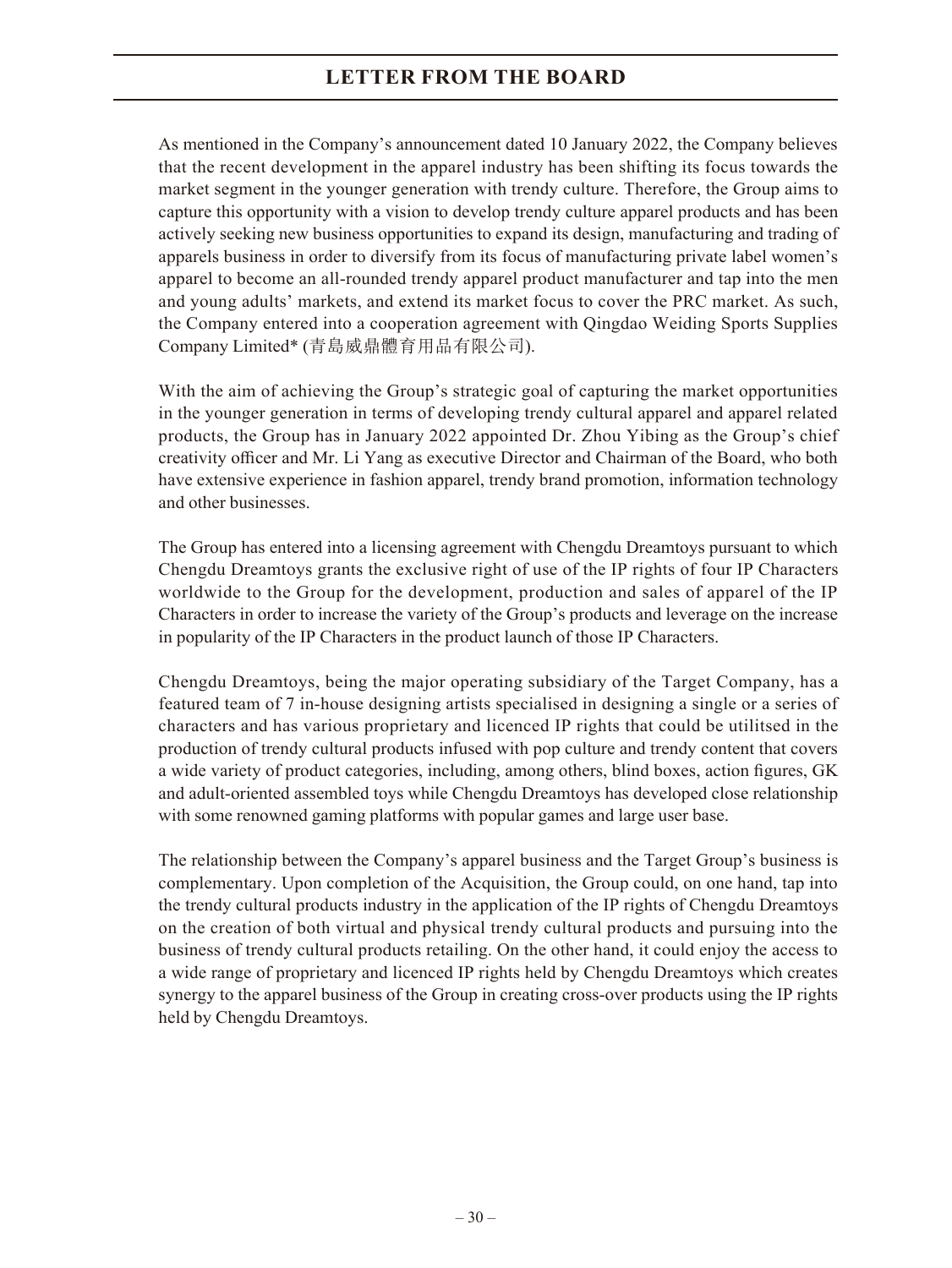As mentioned in the Company's announcement dated 10 January 2022, the Company believes that the recent development in the apparel industry has been shifting its focus towards the market segment in the younger generation with trendy culture. Therefore, the Group aims to capture this opportunity with a vision to develop trendy culture apparel products and has been actively seeking new business opportunities to expand its design, manufacturing and trading of apparels business in order to diversify from its focus of manufacturing private label women's apparel to become an all-rounded trendy apparel product manufacturer and tap into the men and young adults' markets, and extend its market focus to cover the PRC market. As such, the Company entered into a cooperation agreement with Qingdao Weiding Sports Supplies Company Limited\* (青島威鼎體育用品有限公司).

With the aim of achieving the Group's strategic goal of capturing the market opportunities in the younger generation in terms of developing trendy cultural apparel and apparel related products, the Group has in January 2022 appointed Dr. Zhou Yibing as the Group's chief creativity officer and Mr. Li Yang as executive Director and Chairman of the Board, who both have extensive experience in fashion apparel, trendy brand promotion, information technology and other businesses.

The Group has entered into a licensing agreement with Chengdu Dreamtoys pursuant to which Chengdu Dreamtoys grants the exclusive right of use of the IP rights of four IP Characters worldwide to the Group for the development, production and sales of apparel of the IP Characters in order to increase the variety of the Group's products and leverage on the increase in popularity of the IP Characters in the product launch of those IP Characters.

Chengdu Dreamtoys, being the major operating subsidiary of the Target Company, has a featured team of 7 in-house designing artists specialised in designing a single or a series of characters and has various proprietary and licenced IP rights that could be utilitsed in the production of trendy cultural products infused with pop culture and trendy content that covers a wide variety of product categories, including, among others, blind boxes, action figures, GK and adult-oriented assembled toys while Chengdu Dreamtoys has developed close relationship with some renowned gaming platforms with popular games and large user base.

The relationship between the Company's apparel business and the Target Group's business is complementary. Upon completion of the Acquisition, the Group could, on one hand, tap into the trendy cultural products industry in the application of the IP rights of Chengdu Dreamtoys on the creation of both virtual and physical trendy cultural products and pursuing into the business of trendy cultural products retailing. On the other hand, it could enjoy the access to a wide range of proprietary and licenced IP rights held by Chengdu Dreamtoys which creates synergy to the apparel business of the Group in creating cross-over products using the IP rights held by Chengdu Dreamtoys.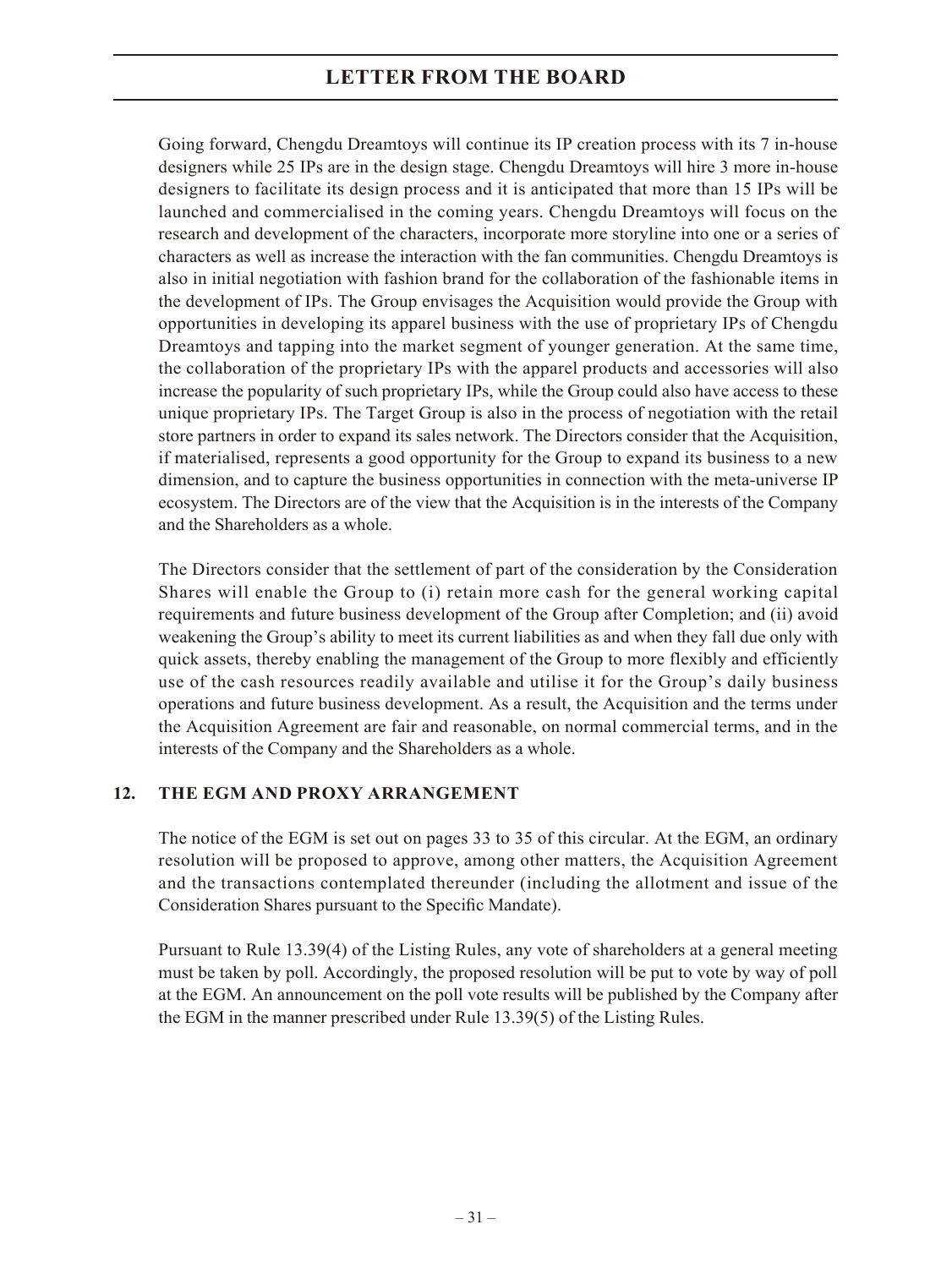Going forward, Chengdu Dreamtoys will continue its IP creation process with its 7 in-house designers while 25 IPs are in the design stage. Chengdu Dreamtoys will hire 3 more in-house designers to facilitate its design process and it is anticipated that more than 15 IPs will be launched and commercialised in the coming years. Chengdu Dreamtoys will focus on the research and development of the characters, incorporate more storyline into one or a series of characters as well as increase the interaction with the fan communities. Chengdu Dreamtoys is also in initial negotiation with fashion brand for the collaboration of the fashionable items in the development of IPs. The Group envisages the Acquisition would provide the Group with opportunities in developing its apparel business with the use of proprietary IPs of Chengdu Dreamtoys and tapping into the market segment of younger generation. At the same time, the collaboration of the proprietary IPs with the apparel products and accessories will also increase the popularity of such proprietary IPs, while the Group could also have access to these unique proprietary IPs. The Target Group is also in the process of negotiation with the retail store partners in order to expand its sales network. The Directors consider that the Acquisition, if materialised, represents a good opportunity for the Group to expand its business to a new dimension, and to capture the business opportunities in connection with the meta-universe IP ecosystem. The Directors are of the view that the Acquisition is in the interests of the Company and the Shareholders as a whole.

The Directors consider that the settlement of part of the consideration by the Consideration Shares will enable the Group to (i) retain more cash for the general working capital requirements and future business development of the Group after Completion; and (ii) avoid weakening the Group's ability to meet its current liabilities as and when they fall due only with quick assets, thereby enabling the management of the Group to more flexibly and efficiently use of the cash resources readily available and utilise it for the Group's daily business operations and future business development. As a result, the Acquisition and the terms under the Acquisition Agreement are fair and reasonable, on normal commercial terms, and in the interests of the Company and the Shareholders as a whole.

### **12. THE EGM AND PROXY ARRANGEMENT**

The notice of the EGM is set out on pages 33 to 35 of this circular. At the EGM, an ordinary resolution will be proposed to approve, among other matters, the Acquisition Agreement and the transactions contemplated thereunder (including the allotment and issue of the Consideration Shares pursuant to the Specific Mandate).

Pursuant to Rule 13.39(4) of the Listing Rules, any vote of shareholders at a general meeting must be taken by poll. Accordingly, the proposed resolution will be put to vote by way of poll at the EGM. An announcement on the poll vote results will be published by the Company after the EGM in the manner prescribed under Rule 13.39(5) of the Listing Rules.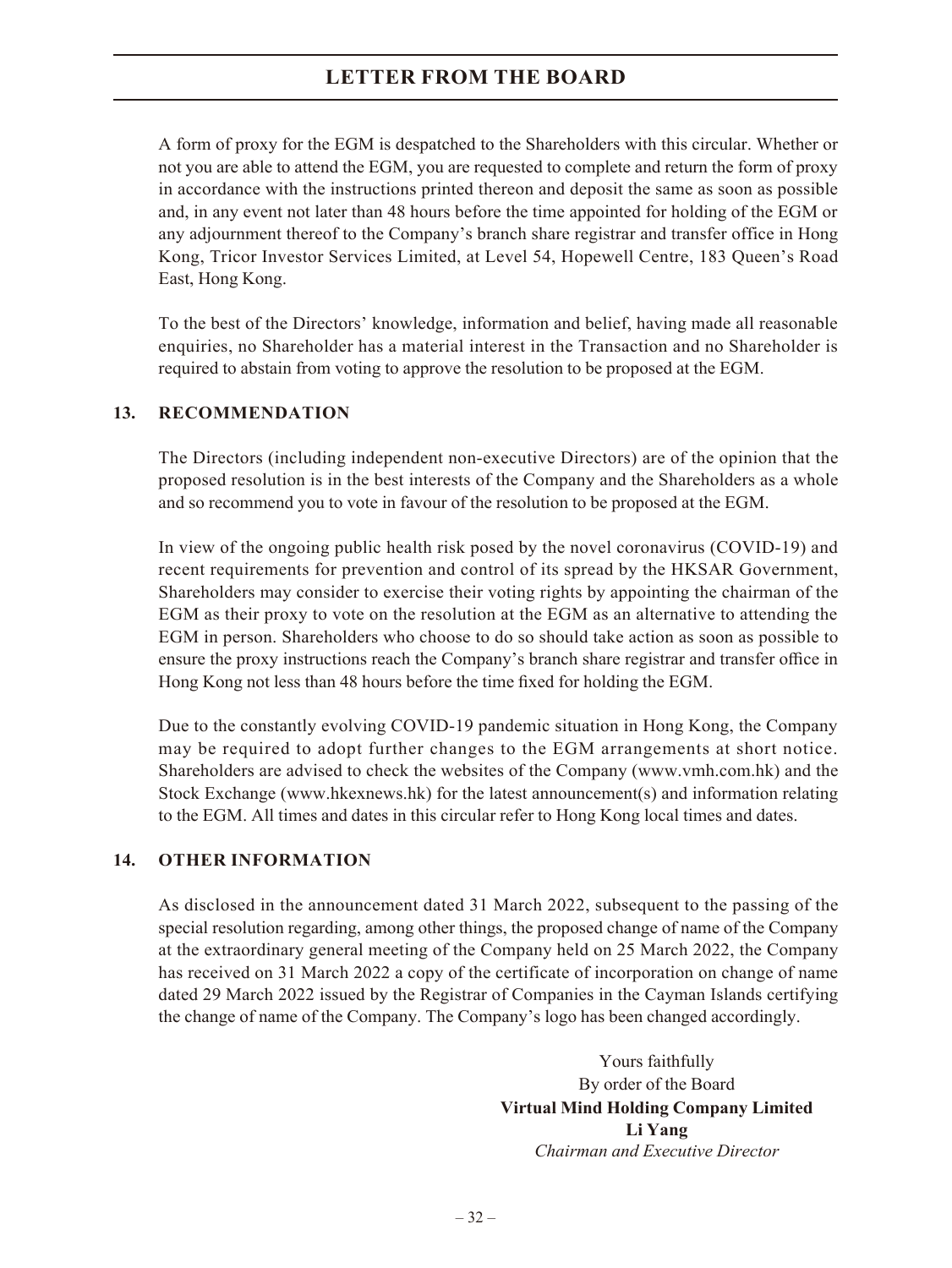A form of proxy for the EGM is despatched to the Shareholders with this circular. Whether or not you are able to attend the EGM, you are requested to complete and return the form of proxy in accordance with the instructions printed thereon and deposit the same as soon as possible and, in any event not later than 48 hours before the time appointed for holding of the EGM or any adjournment thereof to the Company's branch share registrar and transfer office in Hong Kong, Tricor Investor Services Limited, at Level 54, Hopewell Centre, 183 Queen's Road East, Hong Kong.

To the best of the Directors' knowledge, information and belief, having made all reasonable enquiries, no Shareholder has a material interest in the Transaction and no Shareholder is required to abstain from voting to approve the resolution to be proposed at the EGM.

#### **13. RECOMMENDATION**

The Directors (including independent non-executive Directors) are of the opinion that the proposed resolution is in the best interests of the Company and the Shareholders as a whole and so recommend you to vote in favour of the resolution to be proposed at the EGM.

In view of the ongoing public health risk posed by the novel coronavirus (COVID-19) and recent requirements for prevention and control of its spread by the HKSAR Government, Shareholders may consider to exercise their voting rights by appointing the chairman of the EGM as their proxy to vote on the resolution at the EGM as an alternative to attending the EGM in person. Shareholders who choose to do so should take action as soon as possible to ensure the proxy instructions reach the Company's branch share registrar and transfer office in Hong Kong not less than 48 hours before the time fixed for holding the EGM.

Due to the constantly evolving COVID-19 pandemic situation in Hong Kong, the Company may be required to adopt further changes to the EGM arrangements at short notice. Shareholders are advised to check the websites of the Company (www.vmh.com.hk) and the Stock Exchange (www.hkexnews.hk) for the latest announcement(s) and information relating to the EGM. All times and dates in this circular refer to Hong Kong local times and dates.

### **14. OTHER INFORMATION**

As disclosed in the announcement dated 31 March 2022, subsequent to the passing of the special resolution regarding, among other things, the proposed change of name of the Company at the extraordinary general meeting of the Company held on 25 March 2022, the Company has received on 31 March 2022 a copy of the certificate of incorporation on change of name dated 29 March 2022 issued by the Registrar of Companies in the Cayman Islands certifying the change of name of the Company. The Company's logo has been changed accordingly.

> Yours faithfully By order of the Board **Virtual Mind Holding Company Limited Li Yang** *Chairman and Executive Director*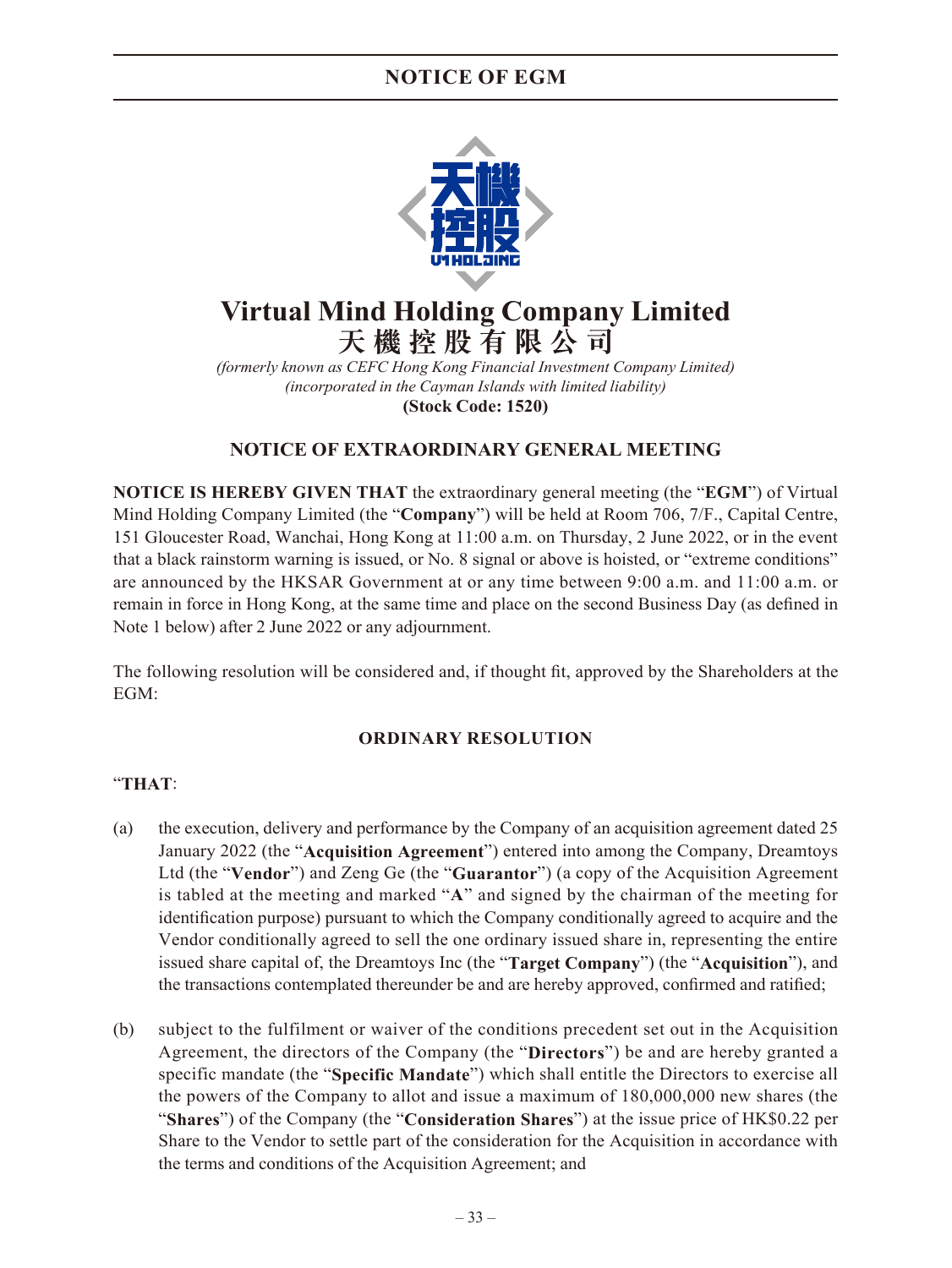### **NOTICE OF EGM**



# **Virtual Mind Holding Company Limited 天機控股有限公司**

*(formerly known as CEFC Hong Kong Financial Investment Company Limited) (incorporated in the Cayman Islands with limited liability)* **(Stock Code: 1520)**

### **NOTICE OF EXTRAORDINARY GENERAL MEETING**

**NOTICE IS HEREBY GIVEN THAT** the extraordinary general meeting (the "**EGM**") of Virtual Mind Holding Company Limited (the "**Company**") will be held at Room 706, 7/F., Capital Centre, 151 Gloucester Road, Wanchai, Hong Kong at 11:00 a.m. on Thursday, 2 June 2022, or in the event that a black rainstorm warning is issued, or No. 8 signal or above is hoisted, or "extreme conditions" are announced by the HKSAR Government at or any time between 9:00 a.m. and 11:00 a.m. or remain in force in Hong Kong, at the same time and place on the second Business Day (as defined in Note 1 below) after 2 June 2022 or any adjournment.

The following resolution will be considered and, if thought fit, approved by the Shareholders at the EGM:

### **ORDINARY RESOLUTION**

### "**THAT**:

- (a) the execution, delivery and performance by the Company of an acquisition agreement dated 25 January 2022 (the "**Acquisition Agreement**") entered into among the Company, Dreamtoys Ltd (the "**Vendor**") and Zeng Ge (the "**Guarantor**") (a copy of the Acquisition Agreement is tabled at the meeting and marked "**A**" and signed by the chairman of the meeting for identification purpose) pursuant to which the Company conditionally agreed to acquire and the Vendor conditionally agreed to sell the one ordinary issued share in, representing the entire issued share capital of, the Dreamtoys Inc (the "**Target Company**") (the "**Acquisition**"), and the transactions contemplated thereunder be and are hereby approved, confirmed and ratified;
- (b) subject to the fulfilment or waiver of the conditions precedent set out in the Acquisition Agreement, the directors of the Company (the "**Directors**") be and are hereby granted a specific mandate (the "**Specific Mandate**") which shall entitle the Directors to exercise all the powers of the Company to allot and issue a maximum of 180,000,000 new shares (the "**Shares**") of the Company (the "**Consideration Shares**") at the issue price of HK\$0.22 per Share to the Vendor to settle part of the consideration for the Acquisition in accordance with the terms and conditions of the Acquisition Agreement; and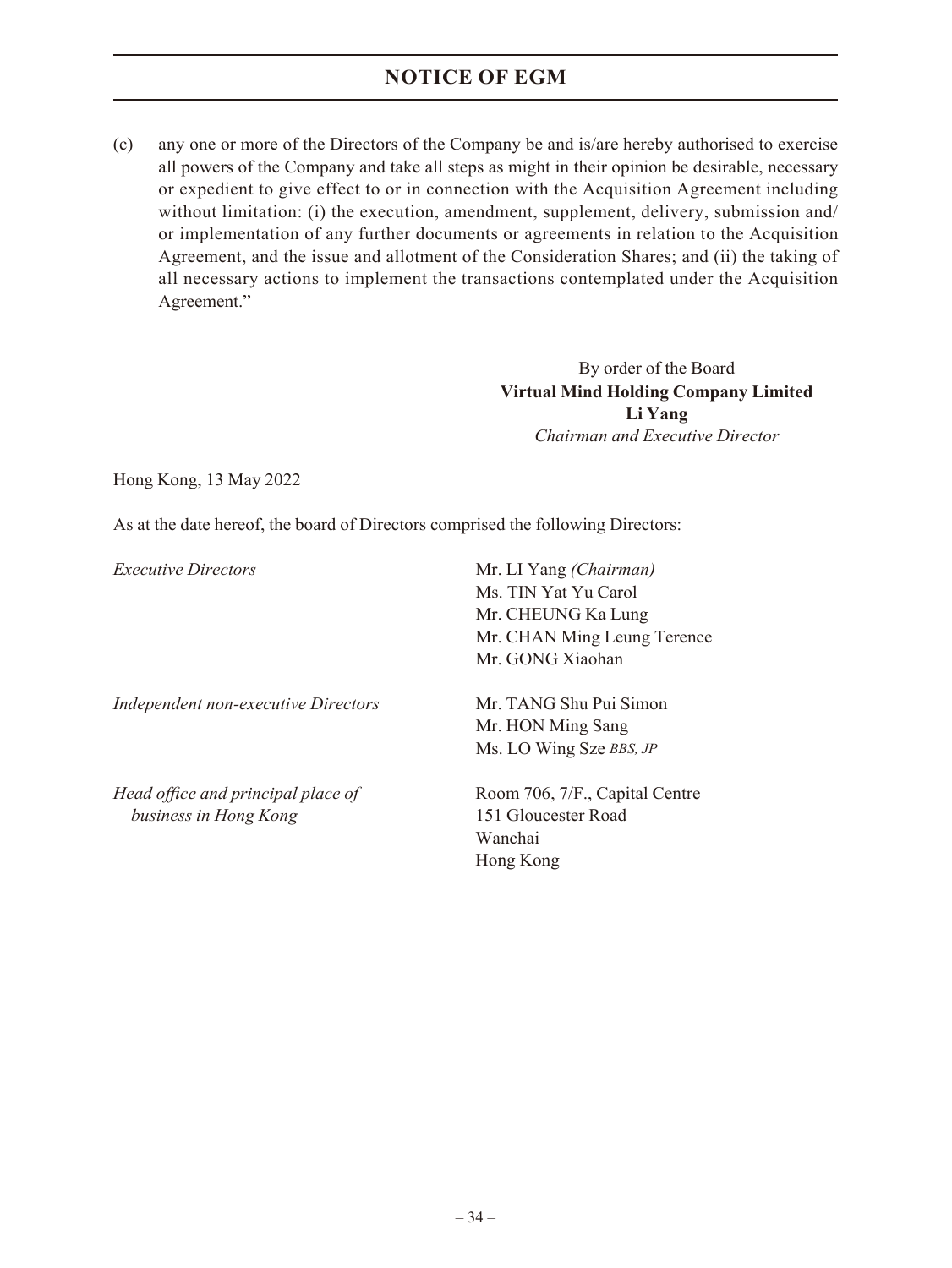### **NOTICE OF EGM**

(c) any one or more of the Directors of the Company be and is/are hereby authorised to exercise all powers of the Company and take all steps as might in their opinion be desirable, necessary or expedient to give effect to or in connection with the Acquisition Agreement including without limitation: (i) the execution, amendment, supplement, delivery, submission and/ or implementation of any further documents or agreements in relation to the Acquisition Agreement, and the issue and allotment of the Consideration Shares; and (ii) the taking of all necessary actions to implement the transactions contemplated under the Acquisition Agreement."

> By order of the Board **Virtual Mind Holding Company Limited Li Yang** *Chairman and Executive Director*

Hong Kong, 13 May 2022

As at the date hereof, the board of Directors comprised the following Directors:

| <i>Executive Directors</i>          | Mr. LI Yang (Chairman)<br>Ms. TIN Yat Yu Carol |  |
|-------------------------------------|------------------------------------------------|--|
|                                     | Mr. CHEUNG Ka Lung                             |  |
|                                     | Mr. CHAN Ming Leung Terence                    |  |
|                                     | Mr. GONG Xiaohan                               |  |
| Independent non-executive Directors | Mr. TANG Shu Pui Simon                         |  |
|                                     | Mr. HON Ming Sang                              |  |
|                                     | Ms. LO Wing Sze BBS, JP                        |  |
| Head office and principal place of  | Room 706, 7/F., Capital Centre                 |  |
| business in Hong Kong               | 151 Gloucester Road                            |  |
|                                     | Wanchai                                        |  |
|                                     | Hong Kong                                      |  |